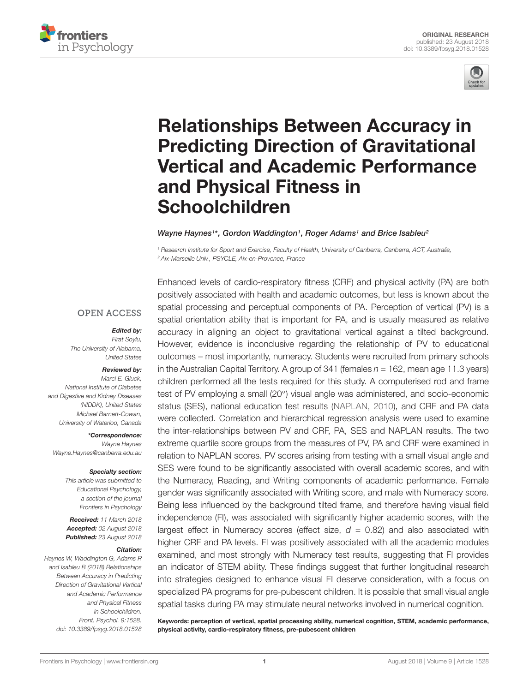



# Relationships Between Accuracy in Predicting Direction of Gravitational [Vertical and Academic Performance](https://www.frontiersin.org/articles/10.3389/fpsyg.2018.01528/full) and Physical Fitness in Schoolchildren

[Wayne Haynes](http://loop.frontiersin.org/people/537189/overview)1\*, Gordon Waddington1, [Roger Adams](http://loop.frontiersin.org/people/577439/overview)1 and [Brice Isableu](http://loop.frontiersin.org/people/391605/overview)<sup>2</sup>

<sup>1</sup> Research Institute for Sport and Exercise, Faculty of Health, University of Canberra, Canberra, ACT, Australia, <sup>2</sup> Aix-Marseille Univ., PSYCLE, Aix-en-Provence, France

### **OPEN ACCESS**

#### Edited by:

Firat Soylu, The University of Alabama, United States

### Reviewed by:

Marci E. Gluck, National Institute of Diabetes and Digestive and Kidney Diseases (NIDDK), United States Michael Barnett-Cowan, University of Waterloo, Canada

\*Correspondence: Wayne Haynes Wayne.Haynes@canberra.edu.au

#### Specialty section:

This article was submitted to Educational Psychology, a section of the journal Frontiers in Psychology

Received: 11 March 2018 Accepted: 02 August 2018 Published: 23 August 2018

#### Citation:

Haynes W, Waddington G, Adams R and Isableu B (2018) Relationships Between Accuracy in Predicting Direction of Gravitational Vertical and Academic Performance and Physical Fitness in Schoolchildren. Front. Psychol. 9:1528. doi: [10.3389/fpsyg.2018.01528](https://doi.org/10.3389/fpsyg.2018.01528) Enhanced levels of cardio-respiratory fitness (CRF) and physical activity (PA) are both positively associated with health and academic outcomes, but less is known about the spatial processing and perceptual components of PA. Perception of vertical (PV) is a spatial orientation ability that is important for PA, and is usually measured as relative accuracy in aligning an object to gravitational vertical against a tilted background. However, evidence is inconclusive regarding the relationship of PV to educational outcomes – most importantly, numeracy. Students were recruited from primary schools in the Australian Capital Territory. A group of 341 (females  $n = 162$ , mean age 11.3 years) children performed all the tests required for this study. A computerised rod and frame test of PV employing a small (20°) visual angle was administered, and socio-economic status (SES), national education test results [\(NAPLAN,](#page-14-0) [2010\)](#page-14-0), and CRF and PA data were collected. Correlation and hierarchical regression analysis were used to examine the inter-relationships between PV and CRF, PA, SES and NAPLAN results. The two extreme quartile score groups from the measures of PV, PA and CRF were examined in relation to NAPLAN scores. PV scores arising from testing with a small visual angle and SES were found to be significantly associated with overall academic scores, and with the Numeracy, Reading, and Writing components of academic performance. Female gender was significantly associated with Writing score, and male with Numeracy score. Being less influenced by the background tilted frame, and therefore having visual field independence (FI), was associated with significantly higher academic scores, with the largest effect in Numeracy scores (effect size,  $d = 0.82$ ) and also associated with higher CRF and PA levels. FI was positively associated with all the academic modules examined, and most strongly with Numeracy test results, suggesting that FI provides an indicator of STEM ability. These findings suggest that further longitudinal research into strategies designed to enhance visual FI deserve consideration, with a focus on specialized PA programs for pre-pubescent children. It is possible that small visual angle spatial tasks during PA may stimulate neural networks involved in numerical cognition.

Keywords: perception of vertical, spatial processing ability, numerical cognition, STEM, academic performance, physical activity, cardio-respiratory fitness, pre-pubescent children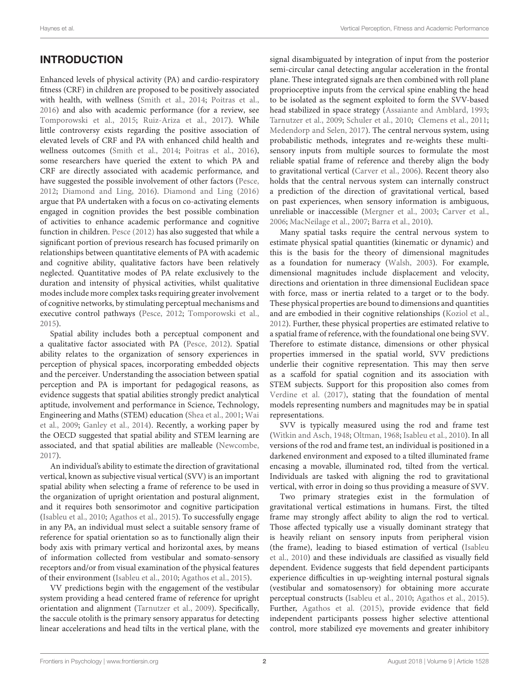# **INTRODUCTION**

Enhanced levels of physical activity (PA) and cardio-respiratory fitness (CRF) in children are proposed to be positively associated with health, with wellness [\(Smith et al.,](#page-15-0) [2014;](#page-15-0) [Poitras et al.,](#page-14-1) [2016\)](#page-14-1) and also with academic performance (for a review, see [Tomporowski et al.,](#page-15-1) [2015;](#page-15-1) [Ruiz-Ariza et al.,](#page-15-2) [2017\)](#page-15-2). While little controversy exists regarding the positive association of elevated levels of CRF and PA with enhanced child health and wellness outcomes [\(Smith et al.,](#page-15-0) [2014;](#page-15-0) [Poitras et al.,](#page-14-1) [2016\)](#page-14-1), some researchers have queried the extent to which PA and CRF are directly associated with academic performance, and have suggested the possible involvement of other factors [\(Pesce,](#page-14-2) [2012;](#page-14-2) [Diamond and Ling,](#page-13-0) [2016\)](#page-13-0). [Diamond and Ling](#page-13-0) [\(2016\)](#page-13-0) argue that PA undertaken with a focus on co-activating elements engaged in cognition provides the best possible combination of activities to enhance academic performance and cognitive function in children. [Pesce](#page-14-2) [\(2012\)](#page-14-2) has also suggested that while a significant portion of previous research has focused primarily on relationships between quantitative elements of PA with academic and cognitive ability, qualitative factors have been relatively neglected. Quantitative modes of PA relate exclusively to the duration and intensity of physical activities, whilst qualitative modes include more complex tasks requiring greater involvement of cognitive networks, by stimulating perceptual mechanisms and executive control pathways [\(Pesce,](#page-14-2) [2012;](#page-14-2) [Tomporowski et al.,](#page-15-1) [2015\)](#page-15-1).

Spatial ability includes both a perceptual component and a qualitative factor associated with PA [\(Pesce,](#page-14-2) [2012\)](#page-14-2). Spatial ability relates to the organization of sensory experiences in perception of physical spaces, incorporating embedded objects and the perceiver. Understanding the association between spatial perception and PA is important for pedagogical reasons, as evidence suggests that spatial abilities strongly predict analytical aptitude, involvement and performance in Science, Technology, Engineering and Maths (STEM) education [\(Shea et al.,](#page-15-3) [2001;](#page-15-3) [Wai](#page-15-4) [et al.,](#page-15-4) [2009;](#page-15-4) [Ganley et al.,](#page-14-3) [2014\)](#page-14-3). Recently, a working paper by the OECD suggested that spatial ability and STEM learning are associated, and that spatial abilities are malleable [\(Newcombe,](#page-14-4) [2017\)](#page-14-4).

An individual's ability to estimate the direction of gravitational vertical, known as subjective visual vertical (SVV) is an important spatial ability when selecting a frame of reference to be used in the organization of upright orientation and postural alignment, and it requires both sensorimotor and cognitive participation [\(Isableu et al.,](#page-14-5) [2010;](#page-14-5) [Agathos et al.,](#page-13-1) [2015\)](#page-13-1). To successfully engage in any PA, an individual must select a suitable sensory frame of reference for spatial orientation so as to functionally align their body axis with primary vertical and horizontal axes, by means of information collected from vestibular and somato-sensory receptors and/or from visual examination of the physical features of their environment [\(Isableu et al.,](#page-14-5) [2010;](#page-14-5) [Agathos et al.,](#page-13-1) [2015\)](#page-13-1).

VV predictions begin with the engagement of the vestibular system providing a head centered frame of reference for upright orientation and alignment [\(Tarnutzer et al.,](#page-15-5) [2009\)](#page-15-5). Specifically, the saccule otolith is the primary sensory apparatus for detecting linear accelerations and head tilts in the vertical plane, with the signal disambiguated by integration of input from the posterior semi-circular canal detecting angular acceleration in the frontal plane. These integrated signals are then combined with roll plane proprioceptive inputs from the cervical spine enabling the head to be isolated as the segment exploited to form the SVV-based head stabilized in space strategy [\(Assaiante and Amblard,](#page-13-2) [1993;](#page-13-2) [Tarnutzer et al.,](#page-15-5) [2009;](#page-15-5) [Schuler et al.,](#page-15-6) [2010;](#page-15-6) [Clemens et al.,](#page-13-3) [2011;](#page-13-3) [Medendorp and Selen,](#page-14-6) [2017\)](#page-14-6). The central nervous system, using probabilistic methods, integrates and re-weights these multisensory inputs from multiple sources to formulate the most reliable spatial frame of reference and thereby align the body to gravitational vertical [\(Carver et al.,](#page-13-4) [2006\)](#page-13-4). Recent theory also holds that the central nervous system can internally construct a prediction of the direction of gravitational vertical, based on past experiences, when sensory information is ambiguous, unreliable or inaccessible [\(Mergner et al.,](#page-14-7) [2003;](#page-14-7) [Carver et al.,](#page-13-4) [2006;](#page-13-4) [MacNeilage et al.,](#page-14-8) [2007;](#page-14-8) [Barra et al.,](#page-13-5) [2010\)](#page-13-5).

Many spatial tasks require the central nervous system to estimate physical spatial quantities (kinematic or dynamic) and this is the basis for the theory of dimensional magnitudes as a foundation for numeracy [\(Walsh,](#page-15-7) [2003\)](#page-15-7). For example, dimensional magnitudes include displacement and velocity, directions and orientation in three dimensional Euclidean space with force, mass or inertia related to a target or to the body. These physical properties are bound to dimensions and quantities and are embodied in their cognitive relationships [\(Koziol et al.,](#page-14-9) [2012\)](#page-14-9). Further, these physical properties are estimated relative to a spatial frame of reference, with the foundational one being SVV. Therefore to estimate distance, dimensions or other physical properties immersed in the spatial world, SVV predictions underlie their cognitive representation. This may then serve as a scaffold for spatial cognition and its association with STEM subjects. Support for this proposition also comes from [Verdine et al.](#page-15-8) [\(2017\)](#page-15-8), stating that the foundation of mental models representing numbers and magnitudes may be in spatial representations.

SVV is typically measured using the rod and frame test [\(Witkin and Asch,](#page-15-9) [1948;](#page-15-9) [Oltman,](#page-14-10) [1968;](#page-14-10) [Isableu et al.,](#page-14-5) [2010\)](#page-14-5). In all versions of the rod and frame test, an individual is positioned in a darkened environment and exposed to a tilted illuminated frame encasing a movable, illuminated rod, tilted from the vertical. Individuals are tasked with aligning the rod to gravitational vertical, with error in doing so thus providing a measure of SVV.

Two primary strategies exist in the formulation of gravitational vertical estimations in humans. First, the tilted frame may strongly affect ability to align the rod to vertical. Those affected typically use a visually dominant strategy that is heavily reliant on sensory inputs from peripheral vision (the frame), leading to biased estimation of vertical [\(Isableu](#page-14-5) [et al.,](#page-14-5) [2010\)](#page-14-5) and these individuals are classified as visually field dependent. Evidence suggests that field dependent participants experience difficulties in up-weighting internal postural signals (vestibular and somatosensory) for obtaining more accurate perceptual constructs [\(Isableu et al.,](#page-14-5) [2010;](#page-14-5) [Agathos et al.,](#page-13-1) [2015\)](#page-13-1). Further, [Agathos et al.](#page-13-1) [\(2015\)](#page-13-1), provide evidence that field independent participants possess higher selective attentional control, more stabilized eye movements and greater inhibitory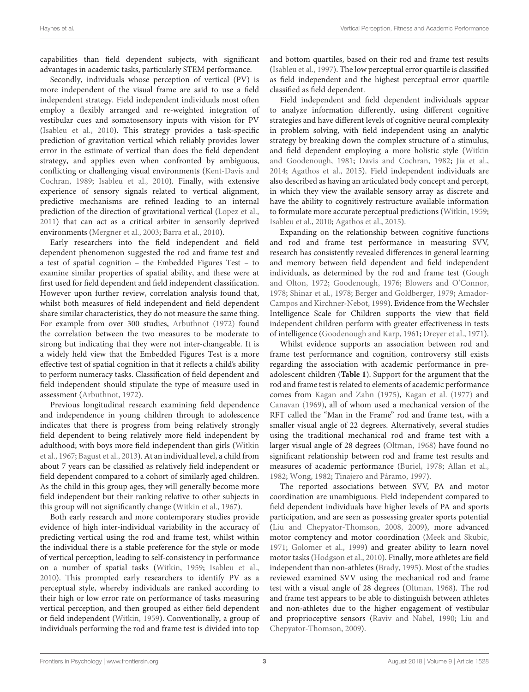capabilities than field dependent subjects, with significant advantages in academic tasks, particularly STEM performance.

Secondly, individuals whose perception of vertical (PV) is more independent of the visual frame are said to use a field independent strategy. Field independent individuals most often employ a flexibly arranged and re-weighted integration of vestibular cues and somatosensory inputs with vision for PV [\(Isableu et al.,](#page-14-5) [2010\)](#page-14-5). This strategy provides a task-specific prediction of gravitation vertical which reliably provides lower error in the estimate of vertical than does the field dependent strategy, and applies even when confronted by ambiguous, conflicting or challenging visual environments [\(Kent-Davis and](#page-14-11) [Cochran,](#page-14-11) [1989;](#page-14-11) [Isableu et al.,](#page-14-5) [2010\)](#page-14-5). Finally, with extensive experience of sensory signals related to vertical alignment, predictive mechanisms are refined leading to an internal prediction of the direction of gravitational vertical [\(Lopez et al.,](#page-14-12) [2011\)](#page-14-12) that can act as a critical arbiter in sensorily deprived environments [\(Mergner et al.,](#page-14-7) [2003;](#page-14-7) [Barra et al.,](#page-13-5) [2010\)](#page-13-5).

Early researchers into the field independent and field dependent phenomenon suggested the rod and frame test and a test of spatial cognition – the Embedded Figures Test – to examine similar properties of spatial ability, and these were at first used for field dependent and field independent classification. However upon further review, correlation analysis found that, whilst both measures of field independent and field dependent share similar characteristics, they do not measure the same thing. For example from over 300 studies, [Arbuthnot](#page-13-6) [\(1972\)](#page-13-6) found the correlation between the two measures to be moderate to strong but indicating that they were not inter-changeable. It is a widely held view that the Embedded Figures Test is a more effective test of spatial cognition in that it reflects a child's ability to perform numeracy tasks. Classification of field dependent and field independent should stipulate the type of measure used in assessment [\(Arbuthnot,](#page-13-6) [1972\)](#page-13-6).

Previous longitudinal research examining field dependence and independence in young children through to adolescence indicates that there is progress from being relatively strongly field dependent to being relatively more field independent by adulthood; with boys more field independent than girls [\(Witkin](#page-15-10) [et al.,](#page-15-10) [1967;](#page-15-10) [Bagust et al.,](#page-13-7) [2013\)](#page-13-7). At an individual level, a child from about 7 years can be classified as relatively field independent or field dependent compared to a cohort of similarly aged children. As the child in this group ages, they will generally become more field independent but their ranking relative to other subjects in this group will not significantly change [\(Witkin et al.,](#page-15-10) [1967\)](#page-15-10).

Both early research and more contemporary studies provide evidence of high inter-individual variability in the accuracy of predicting vertical using the rod and frame test, whilst within the individual there is a stable preference for the style or mode of vertical perception, leading to self-consistency in performance on a number of spatial tasks [\(Witkin,](#page-15-11) [1959;](#page-15-11) [Isableu et al.,](#page-14-5) [2010\)](#page-14-5). This prompted early researchers to identify PV as a perceptual style, whereby individuals are ranked according to their high or low error rate on performance of tasks measuring vertical perception, and then grouped as either field dependent or field independent [\(Witkin,](#page-15-11) [1959\)](#page-15-11). Conventionally, a group of individuals performing the rod and frame test is divided into top

and bottom quartiles, based on their rod and frame test results [\(Isableu et al.,](#page-14-13) [1997\)](#page-14-13). The low perceptual error quartile is classified as field independent and the highest perceptual error quartile classified as field dependent.

Field independent and field dependent individuals appear to analyze information differently, using different cognitive strategies and have different levels of cognitive neural complexity in problem solving, with field independent using an analytic strategy by breaking down the complex structure of a stimulus, and field dependent employing a more holistic style [\(Witkin](#page-15-12) [and Goodenough,](#page-15-12) [1981;](#page-15-12) [Davis and Cochran,](#page-13-8) [1982;](#page-13-8) [Jia et al.,](#page-14-14) [2014;](#page-14-14) [Agathos et al.,](#page-13-1) [2015\)](#page-13-1). Field independent individuals are also described as having an articulated body concept and percept, in which they view the available sensory array as discrete and have the ability to cognitively restructure available information to formulate more accurate perceptual predictions [\(Witkin,](#page-15-11) [1959;](#page-15-11) [Isableu et al.,](#page-14-5) [2010;](#page-14-5) [Agathos et al.,](#page-13-1) [2015\)](#page-13-1).

Expanding on the relationship between cognitive functions and rod and frame test performance in measuring SVV, research has consistently revealed differences in general learning and memory between field dependent and field independent individuals, as determined by the rod and frame test [\(Gough](#page-14-15) [and Olton,](#page-14-15) [1972;](#page-14-15) [Goodenough,](#page-14-16) [1976;](#page-14-16) [Blowers and O'Connor,](#page-13-9) [1978;](#page-13-9) [Shinar et al.,](#page-15-13) [1978;](#page-15-13) [Berger and Goldberger,](#page-13-10) [1979;](#page-13-10) [Amador-](#page-13-11)[Campos and Kirchner-Nebot,](#page-13-11) [1999\)](#page-13-11). Evidence from the Wechsler Intelligence Scale for Children supports the view that field independent children perform with greater effectiveness in tests of intelligence [\(Goodenough and Karp,](#page-14-17) [1961;](#page-14-17) [Dreyer et al.,](#page-13-12) [1971\)](#page-13-12).

Whilst evidence supports an association between rod and frame test performance and cognition, controversy still exists regarding the association with academic performance in preadolescent children (**[Table 1](#page-3-0)**). Support for the argument that the rod and frame test is related to elements of academic performance comes from [Kagan and Zahn](#page-14-18) [\(1975\)](#page-14-18), [Kagan et al.](#page-14-19) [\(1977\)](#page-14-19) and [Canavan](#page-13-13) [\(1969\)](#page-13-13), all of whom used a mechanical version of the RFT called the "Man in the Frame" rod and frame test, with a smaller visual angle of 22 degrees. Alternatively, several studies using the traditional mechanical rod and frame test with a larger visual angle of 28 degrees [\(Oltman,](#page-14-10) [1968\)](#page-14-10) have found no significant relationship between rod and frame test results and measures of academic performance [\(Buriel,](#page-13-14) [1978;](#page-13-14) [Allan et al.,](#page-13-15) [1982;](#page-13-15) [Wong,](#page-15-14) [1982;](#page-15-14) [Tinajero and Páramo,](#page-15-15) [1997\)](#page-15-15).

The reported associations between SVV, PA and motor coordination are unambiguous. Field independent compared to field dependent individuals have higher levels of PA and sports participation, and are seen as possessing greater sports potential [\(Liu and Chepyator-Thomson,](#page-14-20) [2008,](#page-14-20) [2009\)](#page-14-21), more advanced motor comptency and motor coordination [\(Meek and Skubic,](#page-14-22) [1971;](#page-14-22) [Golomer et al.,](#page-14-23) [1999\)](#page-14-23) and greater ability to learn novel motor tasks [\(Hodgson et al.,](#page-14-24) [2010\)](#page-14-24). Finally, more athletes are field independent than non-athletes [\(Brady,](#page-13-16) [1995\)](#page-13-16). Most of the studies reviewed examined SVV using the mechanical rod and frame test with a visual angle of 28 degrees [\(Oltman,](#page-14-10) [1968\)](#page-14-10). The rod and frame test appears to be able to distinguish between athletes and non-athletes due to the higher engagement of vestibular and proprioceptive sensors [\(Raviv and Nabel,](#page-14-25) [1990;](#page-14-25) [Liu and](#page-14-21) [Chepyator-Thomson,](#page-14-21) [2009\)](#page-14-21).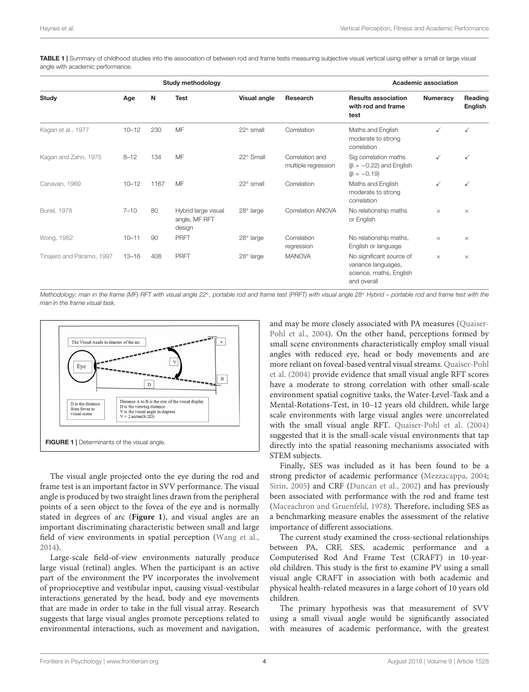<span id="page-3-0"></span>TABLE 1 | Summary of childhood studies into the association of between rod and frame tests measuring subjective visual vertical using either a small or large visual angle with academic performance.

|                           |           |      | <b>Study methodology</b>                       |                     |                                        | Academic association                                                                      |              |                    |  |
|---------------------------|-----------|------|------------------------------------------------|---------------------|----------------------------------------|-------------------------------------------------------------------------------------------|--------------|--------------------|--|
| <b>Study</b>              | Age       | N    | <b>Test</b>                                    | <b>Visual angle</b> | Research                               | <b>Results association</b><br>with rod and frame<br>test                                  | Numeracy     | Reading<br>English |  |
| Kagan et al., 1977        | $10 - 12$ | 230  | MF                                             | 22° small           | Correlation                            | Maths and English<br>moderate to strong<br>correlation                                    | ✓            | ✓                  |  |
| Kagan and Zahn, 1975      | $8 - 12$  | 134  | MF                                             | 22° Small           | Correlation and<br>multiple regression | Sig correlation maths<br>$(\beta = -0.22)$ and English<br>$(\beta = -0.19)$               | ✓            | ✓                  |  |
| Canavan, 1969             | $10 - 12$ | 1167 | MF                                             | 22° small           | Correlation                            | Maths and English<br>moderate to strong<br>correlation                                    | $\checkmark$ | $\checkmark$       |  |
| <b>Buriel, 1978</b>       | $7 - 10$  | 80   | Hybrid large visual<br>angle, MF RFT<br>design | $28^\circ$ large    | Correlation ANOVA                      | No relationship maths<br>or English                                                       | $\times$     | $\times$           |  |
| Wong, 1982                | $10 - 11$ | 90   | PRFT                                           | $28^\circ$ large    | Correlation<br>regression              | No relationship maths,<br>English or language                                             | $\times$     | $\times$           |  |
| Tinajero and Páramo, 1997 | $13 - 16$ | 408  | PRFT                                           | $28°$ large         | <b>MANOVA</b>                          | No significant source of<br>variance languages,<br>science, maths, English<br>and overall | $\times$     | $\times$           |  |

Methodology: man in the frame (MF) RFT with visual angle 22°, portable rod and frame test (PRFT) with visual angle 28° Hybrid – portable rod and frame test with the man in the frame visual task.



<span id="page-3-1"></span>The visual angle projected onto the eye during the rod and frame test is an important factor in SVV performance. The visual angle is produced by two straight lines drawn from the peripheral points of a seen object to the fovea of the eye and is normally stated in degrees of arc (**[Figure 1](#page-3-1)**), and visual angles are an important discriminating characteristic between small and large field of view environments in spatial perception [\(Wang et al.,](#page-15-16) [2014\)](#page-15-16).

Large-scale field-of-view environments naturally produce large visual (retinal) angles. When the participant is an active part of the environment the PV incorporates the involvement of proprioceptive and vestibular input, causing visual-vestibular interactions generated by the head, body and eye movements that are made in order to take in the full visual array. Research suggests that large visual angles promote perceptions related to environmental interactions, such as movement and navigation,

and may be more closely associated with PA measures [\(Quaiser-](#page-14-26)[Pohl et al.,](#page-14-26) [2004\)](#page-14-26). On the other hand, perceptions formed by small scene environments characteristically employ small visual angles with reduced eye, head or body movements and are more reliant on foveal-based ventral visual streams. [Quaiser-Pohl](#page-14-26) [et al.](#page-14-26) [\(2004\)](#page-14-26) provide evidence that small visual angle RFT scores have a moderate to strong correlation with other small-scale environment spatial cognitive tasks, the Water-Level-Task and a Mental-Rotations-Test, in 10–12 years old children, while large scale environments with large visual angles were uncorrelated with the small visual angle RFT. [Quaiser-Pohl et al.](#page-14-26) [\(2004\)](#page-14-26) suggested that it is the small-scale visual environments that tap directly into the spatial reasoning mechanisms associated with STEM subjects.

Finally, SES was included as it has been found to be a strong predictor of academic performance [\(Mezzacappa,](#page-14-27) [2004;](#page-14-27) [Sirin,](#page-15-17) [2005\)](#page-15-17) and CRF [\(Duncan et al.,](#page-14-28) [2002\)](#page-14-28) and has previously been associated with performance with the rod and frame test [\(Maceachron and Gruenfeld,](#page-14-29) [1978\)](#page-14-29). Therefore, including SES as a benchmarking measure enables the assessment of the relative importance of different associations.

The current study examined the cross-sectional relationships between PA, CRF, SES, academic performance and a Computerised Rod And Frame Test (CRAFT) in 10-yearold children. This study is the first to examine PV using a small visual angle CRAFT in association with both academic and physical health-related measures in a large cohort of 10 years old children.

The primary hypothesis was that measurement of SVV using a small visual angle would be significantly associated with measures of academic performance, with the greatest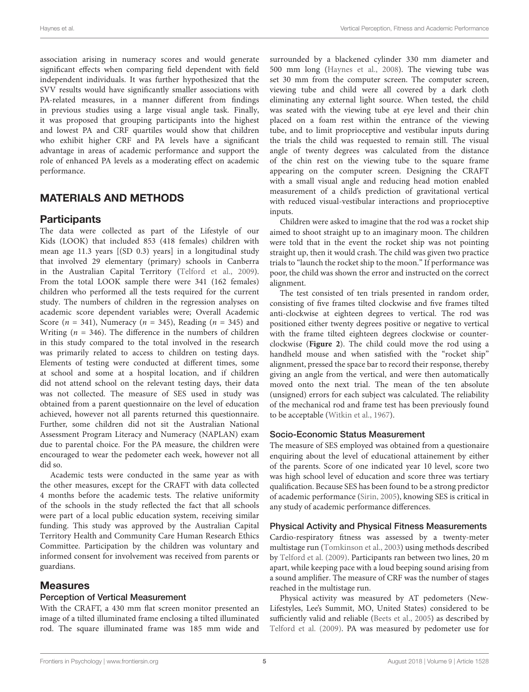association arising in numeracy scores and would generate significant effects when comparing field dependent with field independent individuals. It was further hypothesized that the SVV results would have significantly smaller associations with PA-related measures, in a manner different from findings in previous studies using a large visual angle task. Finally, it was proposed that grouping participants into the highest and lowest PA and CRF quartiles would show that children who exhibit higher CRF and PA levels have a significant advantage in areas of academic performance and support the role of enhanced PA levels as a moderating effect on academic performance.

# MATERIALS AND METHODS

### **Participants**

The data were collected as part of the Lifestyle of our Kids (LOOK) that included 853 (418 females) children with mean age 11.3 years [(SD 0.3) years] in a longitudinal study that involved 29 elementary (primary) schools in Canberra in the Australian Capital Territory [\(Telford et al.,](#page-15-18) [2009\)](#page-15-18). From the total LOOK sample there were 341 (162 females) children who performed all the tests required for the current study. The numbers of children in the regression analyses on academic score dependent variables were; Overall Academic Score ( $n = 341$ ), Numeracy ( $n = 345$ ), Reading ( $n = 345$ ) and Writing ( $n = 346$ ). The difference in the numbers of children in this study compared to the total involved in the research was primarily related to access to children on testing days. Elements of testing were conducted at different times, some at school and some at a hospital location, and if children did not attend school on the relevant testing days, their data was not collected. The measure of SES used in study was obtained from a parent questionnaire on the level of education achieved, however not all parents returned this questionnaire. Further, some children did not sit the Australian National Assessment Program Literacy and Numeracy (NAPLAN) exam due to parental choice. For the PA measure, the children were encouraged to wear the pedometer each week, however not all did so.

Academic tests were conducted in the same year as with the other measures, except for the CRAFT with data collected 4 months before the academic tests. The relative uniformity of the schools in the study reflected the fact that all schools were part of a local public education system, receiving similar funding. This study was approved by the Australian Capital Territory Health and Community Care Human Research Ethics Committee. Participation by the children was voluntary and informed consent for involvement was received from parents or guardians.

### Measures

### Perception of Vertical Measurement

With the CRAFT, a 430 mm flat screen monitor presented an image of a tilted illuminated frame enclosing a tilted illuminated rod. The square illuminated frame was 185 mm wide and surrounded by a blackened cylinder 330 mm diameter and 500 mm long [\(Haynes et al.,](#page-14-30) [2008\)](#page-14-30). The viewing tube was set 30 mm from the computer screen. The computer screen, viewing tube and child were all covered by a dark cloth eliminating any external light source. When tested, the child was seated with the viewing tube at eye level and their chin placed on a foam rest within the entrance of the viewing tube, and to limit proprioceptive and vestibular inputs during the trials the child was requested to remain still. The visual angle of twenty degrees was calculated from the distance of the chin rest on the viewing tube to the square frame appearing on the computer screen. Designing the CRAFT with a small visual angle and reducing head motion enabled measurement of a child's prediction of gravitational vertical with reduced visual-vestibular interactions and proprioceptive inputs.

Children were asked to imagine that the rod was a rocket ship aimed to shoot straight up to an imaginary moon. The children were told that in the event the rocket ship was not pointing straight up, then it would crash. The child was given two practice trials to "launch the rocket ship to the moon." If performance was poor, the child was shown the error and instructed on the correct alignment.

The test consisted of ten trials presented in random order, consisting of five frames tilted clockwise and five frames tilted anti-clockwise at eighteen degrees to vertical. The rod was positioned either twenty degrees positive or negative to vertical with the frame tilted eighteen degrees clockwise or counterclockwise (**[Figure 2](#page-5-0)**). The child could move the rod using a handheld mouse and when satisfied with the "rocket ship" alignment, pressed the space bar to record their response, thereby giving an angle from the vertical, and were then automatically moved onto the next trial. The mean of the ten absolute (unsigned) errors for each subject was calculated. The reliability of the mechanical rod and frame test has been previously found to be acceptable [\(Witkin et al.,](#page-15-10) [1967\)](#page-15-10).

### Socio-Economic Status Measurement

The measure of SES employed was obtained from a questionaire enquiring about the level of educational attainement by either of the parents. Score of one indicated year 10 level, score two was high school level of education and score three was tertiary qualification. Because SES has been found to be a strong predictor of academic performance [\(Sirin,](#page-15-17) [2005\)](#page-15-17), knowing SES is critical in any study of academic performance differences.

### Physical Activity and Physical Fitness Measurements

Cardio-respiratory fitness was assessed by a twenty-meter multistage run [\(Tomkinson et al.,](#page-15-19) [2003\)](#page-15-19) using methods described by [Telford et al.](#page-15-18) [\(2009\)](#page-15-18). Participants ran between two lines, 20 m apart, while keeping pace with a loud beeping sound arising from a sound amplifier. The measure of CRF was the number of stages reached in the multistage run.

Physical activity was measured by AT pedometers (New-Lifestyles, Lee's Summit, MO, United States) considered to be sufficiently valid and reliable [\(Beets et al.,](#page-13-17) [2005\)](#page-13-17) as described by [Telford et al.](#page-15-18) [\(2009\)](#page-15-18). PA was measured by pedometer use for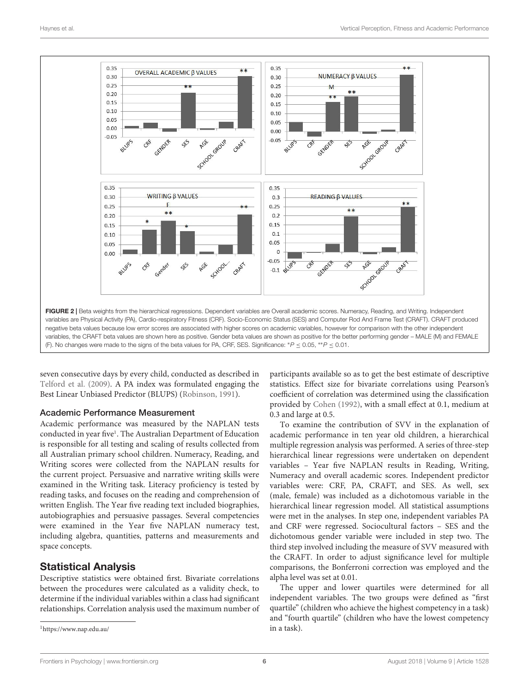

<span id="page-5-0"></span>seven consecutive days by every child, conducted as described in [Telford et al.](#page-15-18) [\(2009\)](#page-15-18). A PA index was formulated engaging the Best Linear Unbiased Predictor (BLUPS) [\(Robinson,](#page-15-20) [1991\)](#page-15-20).

### Academic Performance Measurement

Academic performance was measured by the NAPLAN tests conducted in year five<sup>[1](#page-5-1)</sup>. The Australian Department of Education is responsible for all testing and scaling of results collected from all Australian primary school children. Numeracy, Reading, and Writing scores were collected from the NAPLAN results for the current project. Persuasive and narrative writing skills were examined in the Writing task. Literacy proficiency is tested by reading tasks, and focuses on the reading and comprehension of written English. The Year five reading text included biographies, autobiographies and persuasive passages. Several competencies were examined in the Year five NAPLAN numeracy test, including algebra, quantities, patterns and measurements and space concepts.

### Statistical Analysis

Descriptive statistics were obtained first. Bivariate correlations between the procedures were calculated as a validity check, to determine if the individual variables within a class had significant relationships. Correlation analysis used the maximum number of

<span id="page-5-1"></span><sup>1</sup><https://www.nap.edu.au/>

participants available so as to get the best estimate of descriptive statistics. Effect size for bivariate correlations using Pearson's coefficient of correlation was determined using the classification provided by [Cohen](#page-13-18) [\(1992\)](#page-13-18), with a small effect at 0.1, medium at 0.3 and large at 0.5.

To examine the contribution of SVV in the explanation of academic performance in ten year old children, a hierarchical multiple regression analysis was performed. A series of three-step hierarchical linear regressions were undertaken on dependent variables – Year five NAPLAN results in Reading, Writing, Numeracy and overall academic scores. Independent predictor variables were: CRF, PA, CRAFT, and SES. As well, sex (male, female) was included as a dichotomous variable in the hierarchical linear regression model. All statistical assumptions were met in the analyses. In step one, independent variables PA and CRF were regressed. Sociocultural factors – SES and the dichotomous gender variable were included in step two. The third step involved including the measure of SVV measured with the CRAFT. In order to adjust significance level for multiple comparisons, the Bonferroni correction was employed and the alpha level was set at 0.01.

The upper and lower quartiles were determined for all independent variables. The two groups were defined as "first quartile" (children who achieve the highest competency in a task) and "fourth quartile" (children who have the lowest competency in a task).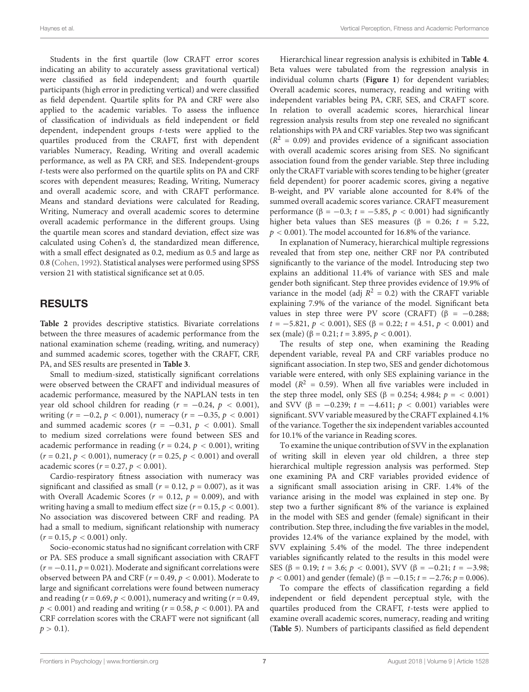Students in the first quartile (low CRAFT error scores indicating an ability to accurately assess gravitational vertical) were classified as field independent; and fourth quartile participants (high error in predicting vertical) and were classified as field dependent. Quartile splits for PA and CRF were also applied to the academic variables. To assess the influence of classification of individuals as field independent or field dependent, independent groups t-tests were applied to the quartiles produced from the CRAFT, first with dependent variables Numeracy, Reading, Writing and overall academic performance, as well as PA CRF, and SES. Independent-groups t-tests were also performed on the quartile splits on PA and CRF scores with dependent measures; Reading, Writing, Numeracy and overall academic score, and with CRAFT performance. Means and standard deviations were calculated for Reading, Writing, Numeracy and overall academic scores to determine overall academic performance in the different groups. Using the quartile mean scores and standard deviation, effect size was calculated using Cohen's d, the standardized mean difference, with a small effect designated as 0.2, medium as 0.5 and large as 0.8 [\(Cohen,](#page-13-18) [1992\)](#page-13-18). Statistical analyses were performed using SPSS version 21 with statistical significance set at 0.05.

# RESULTS

**[Table 2](#page-7-0)** provides descriptive statistics. Bivariate correlations between the three measures of academic performance from the national examination scheme (reading, writing, and numeracy) and summed academic scores, together with the CRAFT, CRF, PA, and SES results are presented in **[Table 3](#page-7-1)**.

Small to medium-sized, statistically significant correlations were observed between the CRAFT and individual measures of academic performance, measured by the NAPLAN tests in ten year old school children for reading ( $r = -0.24$ ,  $p < 0.001$ ), writing ( $r = -0.2$ ,  $p < 0.001$ ), numeracy ( $r = -0.35$ ,  $p < 0.001$ ) and summed academic scores ( $r = -0.31$ ,  $p < 0.001$ ). Small to medium sized correlations were found between SES and academic performance in reading ( $r = 0.24$ ,  $p < 0.001$ ), writing  $(r = 0.21, p < 0.001)$ , numeracy  $(r = 0.25, p < 0.001)$  and overall academic scores ( $r = 0.27$ ,  $p < 0.001$ ).

Cardio-respiratory fitness association with numeracy was significant and classified as small ( $r = 0.12$ ,  $p = 0.007$ ), as it was with Overall Academic Scores ( $r = 0.12$ ,  $p = 0.009$ ), and with writing having a small to medium effect size  $(r = 0.15, p < 0.001)$ . No association was discovered between CRF and reading. PA had a small to medium, significant relationship with numeracy  $(r = 0.15, p < 0.001)$  only.

Socio-economic status had no significant correlation with CRF or PA. SES produce a small significant association with CRAFT  $(r = -0.11, p = 0.021)$ . Moderate and significant correlations were observed between PA and CRF ( $r = 0.49$ ,  $p < 0.001$ ). Moderate to large and significant correlations were found between numeracy and reading ( $r = 0.69$ ,  $p < 0.001$ ), numeracy and writing ( $r = 0.49$ ,  $p < 0.001$ ) and reading and writing ( $r = 0.58$ ,  $p < 0.001$ ). PA and CRF correlation scores with the CRAFT were not significant (all  $p > 0.1$ ).

Hierarchical linear regression analysis is exhibited in **[Table 4](#page-9-0)**. Beta values were tabulated from the regression analysis in individual column charts (**[Figure 1](#page-3-1)**) for dependent variables; Overall academic scores, numeracy, reading and writing with independent variables being PA, CRF, SES, and CRAFT score. In relation to overall academic scores, hierarchical linear regression analysis results from step one revealed no significant relationships with PA and CRF variables. Step two was significant  $(R<sup>2</sup> = 0.09)$  and provides evidence of a significant association with overall academic scores arising from SES. No significant association found from the gender variable. Step three including only the CRAFT variable with scores tending to be higher (greater field dependent) for poorer academic scores, giving a negative B-weight, and PV variable alone accounted for 8.4% of the summed overall academic scores variance. CRAFT measurement performance ( $\beta = -0.3$ ;  $t = -5.85$ ,  $p < 0.001$ ) had significantly higher beta values than SES measures ( $\beta$  = 0.26;  $t$  = 5.22,  $p < 0.001$ ). The model accounted for 16.8% of the variance.

In explanation of Numeracy, hierarchical multiple regressions revealed that from step one, neither CRF nor PA contributed significantly to the variance of the model. Introducing step two explains an additional 11.4% of variance with SES and male gender both significant. Step three provides evidence of 19.9% of variance in the model (adj  $R^2 = 0.2$ ) with the CRAFT variable explaining 7.9% of the variance of the model. Significant beta values in step three were PV score (CRAFT) ( $\beta$  = -0.288;  $t = -5.821, p < 0.001$ , SES ( $\beta = 0.22$ ;  $t = 4.51, p < 0.001$ ) and sex (male) ( $\beta = 0.21$ ;  $t = 3.895$ ,  $p < 0.001$ ).

The results of step one, when examining the Reading dependent variable, reveal PA and CRF variables produce no significant association. In step two, SES and gender dichotomous variable were entered, with only SES explaining variance in the model ( $R^2 = 0.59$ ). When all five variables were included in the step three model, only SES (β = 0.254; 4.984;  $p = < 0.001$ ) and SVV (β = -0.239; t = -4.611;  $p < 0.001$ ) variables were significant. SVV variable measured by the CRAFT explained 4.1% of the variance. Together the six independent variables accounted for 10.1% of the variance in Reading scores.

To examine the unique contribution of SVV in the explanation of writing skill in eleven year old children, a three step hierarchical multiple regression analysis was performed. Step one examining PA and CRF variables provided evidence of a significant small association arising in CRF. 1.4% of the variance arising in the model was explained in step one. By step two a further significant 8% of the variance is explained in the model with SES and gender (female) significant in their contribution. Step three, including the five variables in the model, provides 12.4% of the variance explained by the model, with SVV explaining 5.4% of the model. The three independent variables significantly related to the results in this model were SES ( $\beta$  = 0.19; t = 3.6; p < 0.001), SVV ( $\beta$  = -0.21; t = -3.98;  $p < 0.001$ ) and gender (female) (β = -0.15; t = -2.76; p = 0.006).

To compare the effects of classification regarding a field independent or field dependent perceptual style, with the quartiles produced from the CRAFT, t-tests were applied to examine overall academic scores, numeracy, reading and writing (**[Table 5](#page-9-1)**). Numbers of participants classified as field dependent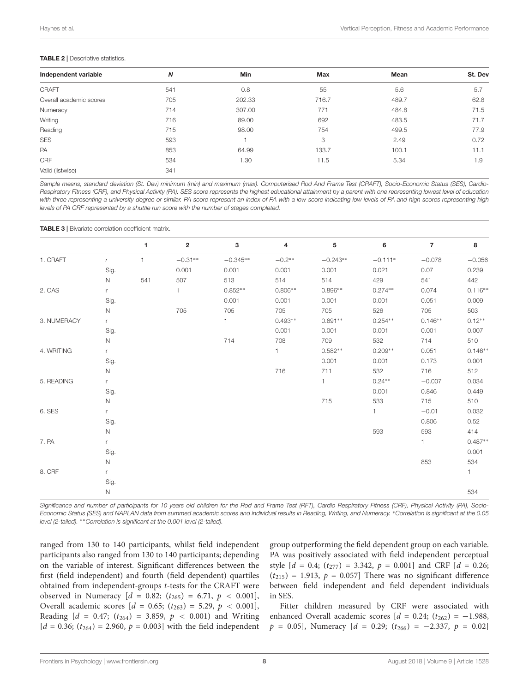#### <span id="page-7-0"></span>TABLE 2 | Descriptive statistics.

| Independent variable    | N   | Min    | Max   | Mean  | St. Dev |
|-------------------------|-----|--------|-------|-------|---------|
| <b>CRAFT</b>            | 541 | 0.8    | 55    | 5.6   | 5.7     |
| Overall academic scores | 705 | 202.33 | 716.7 | 489.7 | 62.8    |
| Numeracy                | 714 | 307.00 | 771   | 484.8 | 71.5    |
| Writing                 | 716 | 89.00  | 692   | 483.5 | 71.7    |
| Reading                 | 715 | 98.00  | 754   | 499.5 | 77.9    |
| <b>SES</b>              | 593 |        | 3     | 2.49  | 0.72    |
| PA                      | 853 | 64.99  | 133.7 | 100.1 | 11.1    |
| <b>CRF</b>              | 534 | 1.30   | 11.5  | 5.34  | 1.9     |
| Valid (listwise)        | 341 |        |       |       |         |

Sample means, standard deviation (St. Dev) minimum (min) and maximum (max). Computerised Rod And Frame Test (CRAFT), Socio-Economic Status (SES), Cardio-Respiratory Fitness (CRF), and Physical Activity (PA). SES score represents the highest educational attainment by a parent with one representing lowest level of education with three representing a university degree or similar. PA score represent an index of PA with a low score indicating low levels of PA and high scores representing high levels of PA CRF represented by a shuttle run score with the number of stages completed.

#### <span id="page-7-1"></span>TABLE 3 | Bivariate correlation coefficient matrix.

|             |              | 1            | $\overline{2}$ | 3            | 4            | 5            | 6            | $\overline{7}$ | 8            |
|-------------|--------------|--------------|----------------|--------------|--------------|--------------|--------------|----------------|--------------|
| 1. CRAFT    | $\mathsf{r}$ | $\mathbf{1}$ | $-0.31**$      | $-0.345**$   | $-0.2**$     | $-0.243**$   | $-0.111*$    | $-0.078$       | $-0.056$     |
|             | Sig.         |              | 0.001          | 0.001        | 0.001        | 0.001        | 0.021        | 0.07           | 0.239        |
|             | $\hbox{N}$   | 541          | 507            | 513          | 514          | 514          | 429          | 541            | 442          |
| 2. OAS      | r            |              | $\mathbf{1}$   | $0.852**$    | $0.806**$    | $0.896**$    | $0.274**$    | 0.074          | $0.116**$    |
|             | Sig.         |              |                | 0.001        | 0.001        | 0.001        | 0.001        | 0.051          | 0.009        |
|             | $\hbox{N}$   |              | 705            | 705          | 705          | 705          | 526          | 705            | 503          |
| 3. NUMERACY | r            |              |                | $\mathbf{1}$ | $0.493**$    | $0.691**$    | $0.254**$    | $0.146**$      | $0.12**$     |
|             | Sig.         |              |                |              | 0.001        | 0.001        | 0.001        | 0.001          | 0.007        |
|             | $\mathsf N$  |              |                | 714          | 708          | 709          | 532          | 714            | 510          |
| 4. WRITING  | r            |              |                |              | $\mathbf{1}$ | $0.582**$    | $0.209**$    | 0.051          | $0.146**$    |
|             | Sig.         |              |                |              |              | 0.001        | 0.001        | 0.173          | 0.001        |
|             | $\mathsf N$  |              |                |              | 716          | 711          | 532          | 716            | 512          |
| 5. READING  | r            |              |                |              |              | $\mathbf{1}$ | $0.24**$     | $-0.007$       | 0.034        |
|             | Sig.         |              |                |              |              |              | 0.001        | 0.846          | 0.449        |
|             | $\mathsf N$  |              |                |              |              | 715          | 533          | 715            | 510          |
| 6. SES      | r            |              |                |              |              |              | $\mathbf{1}$ | $-0.01$        | 0.032        |
|             | Sig.         |              |                |              |              |              |              | 0.806          | 0.52         |
|             | $\hbox{N}$   |              |                |              |              |              | 593          | 593            | 414          |
| 7. PA       | r.           |              |                |              |              |              |              | $\mathbf{1}$   | $0.487**$    |
|             | Sig.         |              |                |              |              |              |              |                | 0.001        |
|             | $\mathsf N$  |              |                |              |              |              |              | 853            | 534          |
| 8. CRF      | r.           |              |                |              |              |              |              |                | $\mathbf{1}$ |
|             | Sig.         |              |                |              |              |              |              |                |              |
|             | $\hbox{N}$   |              |                |              |              |              |              |                | 534          |

Significance and number of participants for 10 years old children for the Rod and Frame Test (RFT), Cardio Respiratory Fitness (CRF), Physical Activity (PA), Socio-Economic Status (SES) and NAPLAN data from summed academic scores and individual results in Reading, Writing, and Numeracy. <sup>∗</sup>Correlation is significant at the 0.05 level (2-tailed). ∗∗Correlation is significant at the 0.001 level (2-tailed).

ranged from 130 to 140 participants, whilst field independent participants also ranged from 130 to 140 participants; depending on the variable of interest. Significant differences between the first (field independent) and fourth (field dependent) quartiles obtained from independent-groups t-tests for the CRAFT were observed in Numeracy  $[d = 0.82; (t_{265}) = 6.71, p < 0.001]$ , Overall academic scores  $[d = 0.65; (t_{263}) = 5.29, p < 0.001]$ , Reading  $[d = 0.47; (t_{264}) = 3.859, p < 0.001)$  and Writing  $[d = 0.36; (t_{264}) = 2.960, p = 0.003]$  with the field independent group outperforming the field dependent group on each variable. PA was positively associated with field independent perceptual style  $[d = 0.4; (t_{277}) = 3.342, p = 0.001]$  and CRF  $[d = 0.26;$  $(t_{215})$  = 1.913,  $p = 0.057$ ] There was no significant difference between field independent and field dependent individuals in SES.

Fitter children measured by CRF were associated with enhanced Overall academic scores  $[d = 0.24; (t_{262}) = -1.988$ ,  $p = 0.05$ ], Numeracy  $[d = 0.29; (t_{266}) = -2.337, p = 0.02]$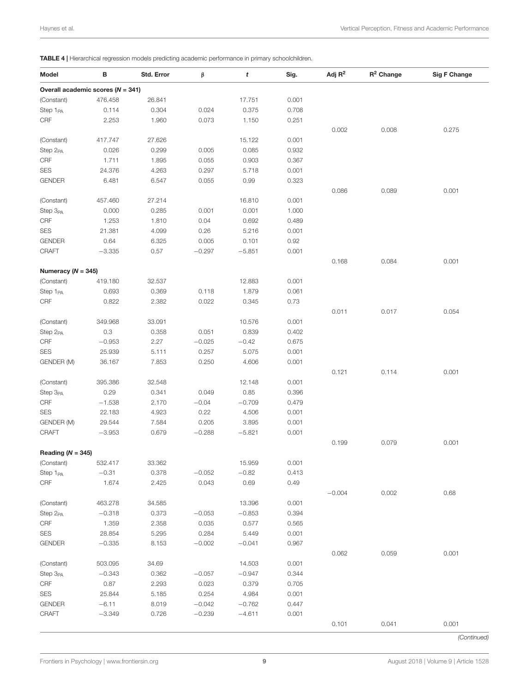TABLE 4 | Hierarchical regression models predicting academic performance in primary schoolchildren.

| Model                                 | в        | Std. Error | β        | t        | Sig.  | Adj $R^2$ | $R^2$ Change | <b>Sig F Change</b> |
|---------------------------------------|----------|------------|----------|----------|-------|-----------|--------------|---------------------|
| Overall academic scores ( $N = 341$ ) |          |            |          |          |       |           |              |                     |
| (Constant)                            | 476.458  | 26.841     |          | 17.751   | 0.001 |           |              |                     |
| Step 1 <sub>PA</sub>                  | 0.114    | 0.304      | 0.024    | 0.375    | 0.708 |           |              |                     |
| CRF                                   | 2.253    | 1.960      | 0.073    | 1.150    | 0.251 |           |              |                     |
|                                       |          |            |          |          |       | 0.002     | 0.008        | 0.275               |
| (Constant)                            | 417.747  | 27.626     |          | 15.122   | 0.001 |           |              |                     |
| Step 2 <sub>PA</sub>                  | 0.026    | 0.299      | 0.005    | 0.085    | 0.932 |           |              |                     |
| CRF                                   | 1.711    | 1.895      | 0.055    | 0.903    | 0.367 |           |              |                     |
| <b>SES</b>                            | 24.376   | 4.263      | 0.297    | 5.718    | 0.001 |           |              |                     |
| <b>GENDER</b>                         | 6.481    | 6.547      | 0.055    | 0.99     | 0.323 |           |              |                     |
|                                       |          |            |          |          |       | 0.086     | 0.089        | 0.001               |
| (Constant)                            | 457.460  | 27.214     |          | 16.810   | 0.001 |           |              |                     |
| Step 3 <sub>PA</sub>                  | 0.000    | 0.285      | 0.001    | 0.001    | 1.000 |           |              |                     |
| $\ensuremath{\mathsf{CRF}}$           | 1.253    | 1.810      | 0.04     | 0.692    | 0.489 |           |              |                     |
| SES                                   | 21.381   | 4.099      | 0.26     | 5.216    | 0.001 |           |              |                     |
| <b>GENDER</b>                         | 0.64     | 6.325      | 0.005    | 0.101    | 0.92  |           |              |                     |
| CRAFT                                 | $-3.335$ | 0.57       | $-0.297$ | $-5.851$ | 0.001 |           |              |                     |
|                                       |          |            |          |          |       | 0.168     | 0.084        | 0.001               |
| Numeracy ( $N = 345$ )                |          |            |          |          |       |           |              |                     |
| (Constant)                            | 419.180  | 32.537     |          | 12.883   | 0.001 |           |              |                     |
| Step 1 <sub>PA</sub>                  | 0.693    | 0.369      | 0.118    | 1.879    | 0.061 |           |              |                     |
| CRF                                   | 0.822    | 2.382      | 0.022    | 0.345    | 0.73  |           |              |                     |
|                                       |          |            |          |          |       | 0.011     | 0.017        | 0.054               |
| (Constant)                            | 349.968  | 33.091     |          | 10.576   | 0.001 |           |              |                     |
| Step 2 <sub>PA</sub>                  | 0.3      | 0.358      | 0.051    | 0.839    | 0.402 |           |              |                     |
| $\ensuremath{\mathsf{CRF}}$           | $-0.953$ | 2.27       | $-0.025$ | $-0.42$  | 0.675 |           |              |                     |
| <b>SES</b>                            | 25.939   | 5.111      | 0.257    | 5.075    | 0.001 |           |              |                     |
| GENDER (M)                            | 36.167   | 7.853      | 0.250    | 4.606    | 0.001 |           |              |                     |
|                                       |          |            |          |          |       | 0.121     | 0.114        | 0.001               |
| (Constant)                            | 395.386  | 32.548     |          | 12.148   | 0.001 |           |              |                     |
| Step 3 <sub>PA</sub>                  | 0.29     | 0.341      | 0.049    | 0.85     | 0.396 |           |              |                     |
| $\ensuremath{\mathsf{CRF}}$           | $-1.538$ | 2.170      | $-0.04$  | $-0.709$ | 0.479 |           |              |                     |
| <b>SES</b>                            | 22.183   | 4.923      | 0.22     | 4.506    | 0.001 |           |              |                     |
| GENDER (M)                            | 29.544   | 7.584      | 0.205    | 3.895    | 0.001 |           |              |                     |
| CRAFT                                 | $-3.953$ | 0.679      | $-0.288$ | $-5.821$ | 0.001 |           |              |                     |
|                                       |          |            |          |          |       | 0.199     | 0.079        | 0.001               |
| Reading ( $N = 345$ )                 |          |            |          |          |       |           |              |                     |
| (Constant)                            | 532.417  | 33.362     |          | 15.959   | 0.001 |           |              |                     |
| Step 1 <sub>PA</sub>                  | $-0.31$  | 0.378      | $-0.052$ | $-0.82$  | 0.413 |           |              |                     |
| $\ensuremath{\mathsf{CRF}}$           | 1.674    | 2.425      | 0.043    | 0.69     | 0.49  |           |              |                     |
|                                       |          |            |          |          |       | $-0.004$  | 0.002        | 0.68                |
| (Constant)                            | 463.278  | 34.585     |          | 13.396   | 0.001 |           |              |                     |
| Step 2 <sub>PA</sub>                  | $-0.318$ | 0.373      | $-0.053$ | $-0.853$ | 0.394 |           |              |                     |
| $\ensuremath{\mathsf{CRF}}$           | 1.359    | 2.358      | 0.035    | 0.577    | 0.565 |           |              |                     |
| SES                                   | 28.854   | 5.295      | 0.284    | 5.449    | 0.001 |           |              |                     |
| <b>GENDER</b>                         | $-0.335$ | 8.153      | $-0.002$ | $-0.041$ | 0.967 |           |              |                     |
|                                       |          |            |          |          |       | 0.062     | 0.059        | 0.001               |
| (Constant)                            | 503.095  | 34.69      |          | 14.503   | 0.001 |           |              |                     |
| Step 3 <sub>PA</sub>                  | $-0.343$ | 0.362      | $-0.057$ | $-0.947$ | 0.344 |           |              |                     |
| $\ensuremath{\mathsf{CRF}}$           | 0.87     | 2.293      | 0.023    | 0.379    | 0.705 |           |              |                     |
| SES                                   | 25.844   | 5.185      | 0.254    | 4.984    | 0.001 |           |              |                     |
| <b>GENDER</b>                         | $-6.11$  | 8.019      | $-0.042$ | $-0.762$ | 0.447 |           |              |                     |
| CRAFT                                 | $-3.349$ | 0.726      | $-0.239$ | $-4.611$ | 0.001 |           |              |                     |
|                                       |          |            |          |          |       | 0.101     | 0.041        | 0.001               |
|                                       |          |            |          |          |       |           |              |                     |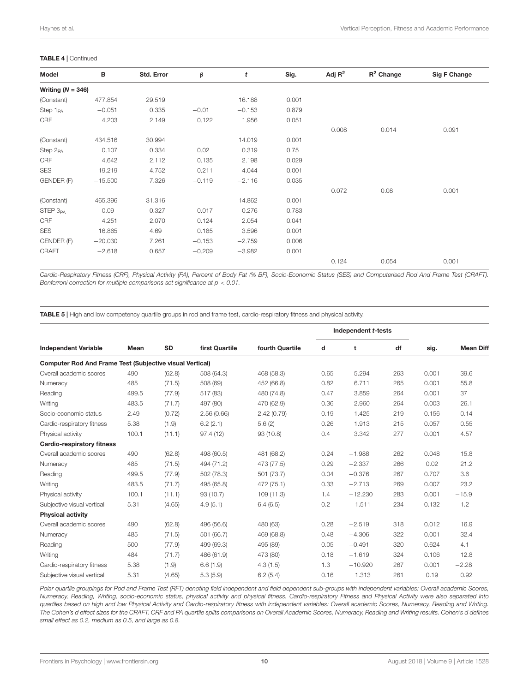| Model                | в         | Std. Error | β        | t        | Sig.  | Adj $R^2$ | $R^2$ Change | Sig F Change |
|----------------------|-----------|------------|----------|----------|-------|-----------|--------------|--------------|
| Writing $(N = 346)$  |           |            |          |          |       |           |              |              |
| (Constant)           | 477.854   | 29.519     |          | 16.188   | 0.001 |           |              |              |
| Step 1 <sub>PA</sub> | $-0.051$  | 0.335      | $-0.01$  | $-0.153$ | 0.879 |           |              |              |
| CRF                  | 4.203     | 2.149      | 0.122    | 1.956    | 0.051 |           |              |              |
|                      |           |            |          |          |       | 0.008     | 0.014        | 0.091        |
| (Constant)           | 434.516   | 30.994     |          | 14.019   | 0.001 |           |              |              |
| Step 2 <sub>PA</sub> | 0.107     | 0.334      | 0.02     | 0.319    | 0.75  |           |              |              |
| CRF                  | 4.642     | 2.112      | 0.135    | 2.198    | 0.029 |           |              |              |
| <b>SES</b>           | 19.219    | 4.752      | 0.211    | 4.044    | 0.001 |           |              |              |
| <b>GENDER (F)</b>    | $-15.500$ | 7.326      | $-0.119$ | $-2.116$ | 0.035 |           |              |              |
|                      |           |            |          |          |       | 0.072     | 0.08         | 0.001        |
| (Constant)           | 465.396   | 31.316     |          | 14.862   | 0.001 |           |              |              |
| STEP 3 <sub>PA</sub> | 0.09      | 0.327      | 0.017    | 0.276    | 0.783 |           |              |              |
| CRF                  | 4.251     | 2.070      | 0.124    | 2.054    | 0.041 |           |              |              |
| <b>SES</b>           | 16.865    | 4.69       | 0.185    | 3.596    | 0.001 |           |              |              |
| GENDER (F)           | $-20.030$ | 7.261      | $-0.153$ | $-2.759$ | 0.006 |           |              |              |
| <b>CRAFT</b>         | $-2.618$  | 0.657      | $-0.209$ | $-3.982$ | 0.001 |           |              |              |
|                      |           |            |          |          |       | 0.124     | 0.054        | 0.001        |

#### <span id="page-9-0"></span>TABLE 4 | Continued

Cardio-Respiratory Fitness (CRF), Physical Activity (PA), Percent of Body Fat (% BF), Socio-Economic Status (SES) and Computerised Rod And Frame Test (CRAFT). Bonferroni correction for multiple comparisons set significance at  $p < 0.01$ .

<span id="page-9-1"></span>TABLE 5 | High and low competency quartile groups in rod and frame test, cardio-respiratory fitness and physical activity.

|                                                                 | Mean  |           |                |                 |      | Independent t-tests |     |       |                  |
|-----------------------------------------------------------------|-------|-----------|----------------|-----------------|------|---------------------|-----|-------|------------------|
| <b>Independent Variable</b>                                     |       | <b>SD</b> | first Quartile | fourth Quartile | d    | t                   | df  | sig.  | <b>Mean Diff</b> |
| <b>Computer Rod And Frame Test (Subjective visual Vertical)</b> |       |           |                |                 |      |                     |     |       |                  |
| Overall academic scores                                         | 490   | (62.8)    | 508 (64.3)     | 468 (58.3)      | 0.65 | 5.294               | 263 | 0.001 | 39.6             |
| Numeracy                                                        | 485   | (71.5)    | 508 (69)       | 452 (66.8)      | 0.82 | 6.711               | 265 | 0.001 | 55.8             |
| Reading                                                         | 499.5 | (77.9)    | 517 (83)       | 480 (74.8)      | 0.47 | 3.859               | 264 | 0.001 | 37               |
| Writing                                                         | 483.5 | (71.7)    | 497 (80)       | 470 (62.9)      | 0.36 | 2.960               | 264 | 0.003 | 26.1             |
| Socio-economic status                                           | 2.49  | (0.72)    | 2.56(0.66)     | 2.42(0.79)      | 0.19 | 1.425               | 219 | 0.156 | 0.14             |
| Cardio-respiratory fitness                                      | 5.38  | (1.9)     | 6.2(2.1)       | 5.6(2)          | 0.26 | 1.913               | 215 | 0.057 | 0.55             |
| Physical activity                                               | 100.1 | (11.1)    | 97.4(12)       | 93 (10.8)       | 0.4  | 3.342               | 277 | 0.001 | 4.57             |
| <b>Cardio-respiratory fitness</b>                               |       |           |                |                 |      |                     |     |       |                  |
| Overall academic scores                                         | 490   | (62.8)    | 498 (60.5)     | 481 (68.2)      | 0.24 | $-1.988$            | 262 | 0.048 | 15.8             |
| Numeracy                                                        | 485   | (71.5)    | 494 (71.2)     | 473 (77.5)      | 0.29 | $-2.337$            | 266 | 0.02  | 21.2             |
| Reading                                                         | 499.5 | (77.9)    | 502 (78.3)     | 501 (73.7)      | 0.04 | $-0.376$            | 267 | 0.707 | 3.6              |
| Writing                                                         | 483.5 | (71.7)    | 495 (65.8)     | 472 (75.1)      | 0.33 | $-2.713$            | 269 | 0.007 | 23.2             |
| Physical activity                                               | 100.1 | (11.1)    | 93 (10.7)      | 109(11.3)       | 1.4  | $-12.230$           | 283 | 0.001 | $-15.9$          |
| Subjective visual vertical                                      | 5.31  | (4.65)    | 4.9(5.1)       | 6.4(6.5)        | 0.2  | 1.511               | 234 | 0.132 | 1.2              |
| <b>Physical activity</b>                                        |       |           |                |                 |      |                     |     |       |                  |
| Overall academic scores                                         | 490   | (62.8)    | 496 (56.6)     | 480 (63)        | 0.28 | $-2.519$            | 318 | 0.012 | 16.9             |
| Numeracy                                                        | 485   | (71.5)    | 501 (66.7)     | 469 (68.8)      | 0.48 | $-4.306$            | 322 | 0.001 | 32.4             |
| Reading                                                         | 500   | (77.9)    | 499 (69.3)     | 495 (89)        | 0.05 | $-0.491$            | 320 | 0.624 | 4.1              |
| Writing                                                         | 484   | (71.7)    | 486 (61.9)     | 473 (80)        | 0.18 | $-1.619$            | 324 | 0.106 | 12.8             |
| Cardio-respiratory fitness                                      | 5.38  | (1.9)     | 6.6(1.9)       | 4.3(1.5)        | 1.3  | $-10.920$           | 267 | 0.001 | $-2.28$          |
| Subjective visual vertical                                      | 5.31  | (4.65)    | 5.3(5.9)       | 6.2(5.4)        | 0.16 | 1.313               | 261 | 0.19  | 0.92             |

Polar quartile groupings for Rod and Frame Test (RFT) denoting field independent and field dependent sub-groups with independent variables: Overall academic Scores, Numeracy, Reading, Writing, socio-economic status, physical activity and physical fitness. Cardio-respiratory Fitness and Physical Activity were also separated into quartiles based on high and low Physical Activity and Cardio-respiratory fitness with independent variables: Overall academic Scores, Numeracy, Reading and Writing. The Cohen's d effect sizes for the CRAFT, CRF and PA quartile splits comparisons on Overall Academic Scores, Numeracy, Reading and Writing results. Cohen's d defines small effect as 0.2, medium as 0.5, and large as 0.8.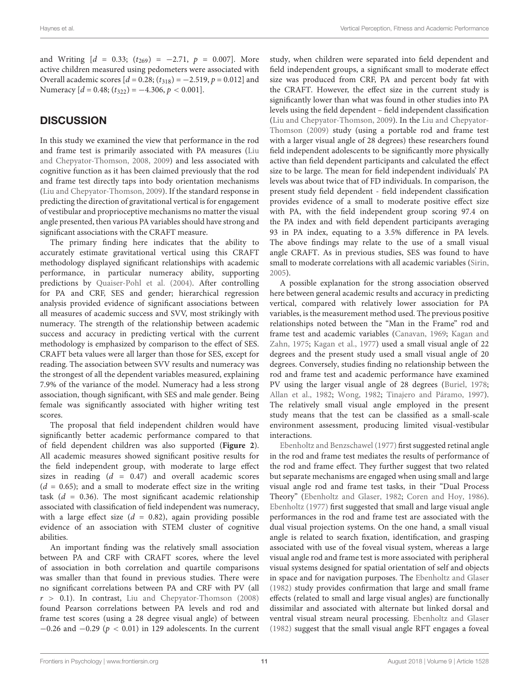and Writing  $[d = 0.33; (t_{269}) = -2.71, p = 0.007]$ . More active children measured using pedometers were associated with Overall academic scores  $[d = 0.28; (t_{318}) = -2.519, p = 0.012]$  and Numeracy  $[d = 0.48; (t_{322}) = -4.306, p < 0.001]$ .

# **DISCUSSION**

In this study we examined the view that performance in the rod and frame test is primarily associated with PA measures [\(Liu](#page-14-20) [and Chepyator-Thomson,](#page-14-20) [2008,](#page-14-20) [2009\)](#page-14-21) and less associated with cognitive function as it has been claimed previously that the rod and frame test directly taps into body orientation mechanisms [\(Liu and Chepyator-Thomson,](#page-14-21) [2009\)](#page-14-21). If the standard response in predicting the direction of gravitational vertical is for engagement of vestibular and proprioceptive mechanisms no matter the visual angle presented, then various PA variables should have strong and significant associations with the CRAFT measure.

The primary finding here indicates that the ability to accurately estimate gravitational vertical using this CRAFT methodology displayed significant relationships with academic performance, in particular numeracy ability, supporting predictions by [Quaiser-Pohl et al.](#page-14-26) [\(2004\)](#page-14-26). After controlling for PA and CRF, SES and gender; hierarchical regression analysis provided evidence of significant associations between all measures of academic success and SVV, most strikingly with numeracy. The strength of the relationship between academic success and accuracy in predicting vertical with the current methodology is emphasized by comparison to the effect of SES. CRAFT beta values were all larger than those for SES, except for reading. The association between SVV results and numeracy was the strongest of all the dependent variables measured, explaining 7.9% of the variance of the model. Numeracy had a less strong association, though significant, with SES and male gender. Being female was significantly associated with higher writing test scores.

The proposal that field independent children would have significantly better academic performance compared to that of field dependent children was also supported (**[Figure 2](#page-5-0)**). All academic measures showed significant positive results for the field independent group, with moderate to large effect sizes in reading  $(d = 0.47)$  and overall academic scores  $(d = 0.65)$ ; and a small to moderate effect size in the writing task ( $d = 0.36$ ). The most significant academic relationship associated with classification of field independent was numeracy, with a large effect size ( $d = 0.82$ ), again providing possible evidence of an association with STEM cluster of cognitive abilities.

An important finding was the relatively small association between PA and CRF with CRAFT scores, where the level of association in both correlation and quartile comparisons was smaller than that found in previous studies. There were no significant correlations between PA and CRF with PV (all  $r > 0.1$ ). In contrast, [Liu and Chepyator-Thomson](#page-14-20) [\(2008\)](#page-14-20) found Pearson correlations between PA levels and rod and frame test scores (using a 28 degree visual angle) of between  $-0.26$  and  $-0.29$  ( $p < 0.01$ ) in 129 adolescents. In the current

study, when children were separated into field dependent and field independent groups, a significant small to moderate effect size was produced from CRF, PA and percent body fat with the CRAFT. However, the effect size in the current study is significantly lower than what was found in other studies into PA levels using the field dependent – field independent classification [\(Liu and Chepyator-Thomson,](#page-14-21) [2009\)](#page-14-21). In the [Liu and Chepyator-](#page-14-21)[Thomson](#page-14-21) [\(2009\)](#page-14-21) study (using a portable rod and frame test with a larger visual angle of 28 degrees) these researchers found field independent adolescents to be significantly more physically active than field dependent participants and calculated the effect size to be large. The mean for field independent individuals' PA levels was about twice that of FD individuals. In comparison, the present study field dependent - field independent classification provides evidence of a small to moderate positive effect size with PA, with the field independent group scoring 97.4 on the PA index and with field dependent participants averaging 93 in PA index, equating to a 3.5% difference in PA levels. The above findings may relate to the use of a small visual angle CRAFT. As in previous studies, SES was found to have small to moderate correlations with all academic variables [\(Sirin,](#page-15-17) [2005\)](#page-15-17).

A possible explanation for the strong association observed here between general academic results and accuracy in predicting vertical, compared with relatively lower association for PA variables, is the measurement method used. The previous positive relationships noted between the "Man in the Frame" rod and frame test and academic variables [\(Canavan,](#page-13-13) [1969;](#page-13-13) [Kagan and](#page-14-18) [Zahn,](#page-14-18) [1975;](#page-14-18) [Kagan et al.,](#page-14-19) [1977\)](#page-14-19) used a small visual angle of 22 degrees and the present study used a small visual angle of 20 degrees. Conversely, studies finding no relationship between the rod and frame test and academic performance have examined PV using the larger visual angle of 28 degrees [\(Buriel,](#page-13-14) [1978;](#page-13-14) [Allan et al.,](#page-13-15) [1982;](#page-13-15) [Wong,](#page-15-14) [1982;](#page-15-14) [Tinajero and Páramo,](#page-15-15) [1997\)](#page-15-15). The relatively small visual angle employed in the present study means that the test can be classified as a small-scale environment assessment, producing limited visual-vestibular interactions.

[Ebenholtz and Benzschawel](#page-14-31) [\(1977\)](#page-14-31) first suggested retinal angle in the rod and frame test mediates the results of performance of the rod and frame effect. They further suggest that two related but separate mechanisms are engaged when using small and large visual angle rod and frame test tasks, in their "Dual Process Theory" [\(Ebenholtz and Glaser,](#page-14-32) [1982;](#page-14-32) [Coren and Hoy,](#page-13-19) [1986\)](#page-13-19). [Ebenholtz](#page-14-33) [\(1977\)](#page-14-33) first suggested that small and large visual angle performances in the rod and frame test are associated with the dual visual projection systems. On the one hand, a small visual angle is related to search fixation, identification, and grasping associated with use of the foveal visual system, whereas a large visual angle rod and frame test is more associated with peripheral visual systems designed for spatial orientation of self and objects in space and for navigation purposes. The [Ebenholtz and Glaser](#page-14-32) [\(1982\)](#page-14-32) study provides confirmation that large and small frame effects (related to small and large visual angles) are functionally dissimilar and associated with alternate but linked dorsal and ventral visual stream neural processing. [Ebenholtz and Glaser](#page-14-32) [\(1982\)](#page-14-32) suggest that the small visual angle RFT engages a foveal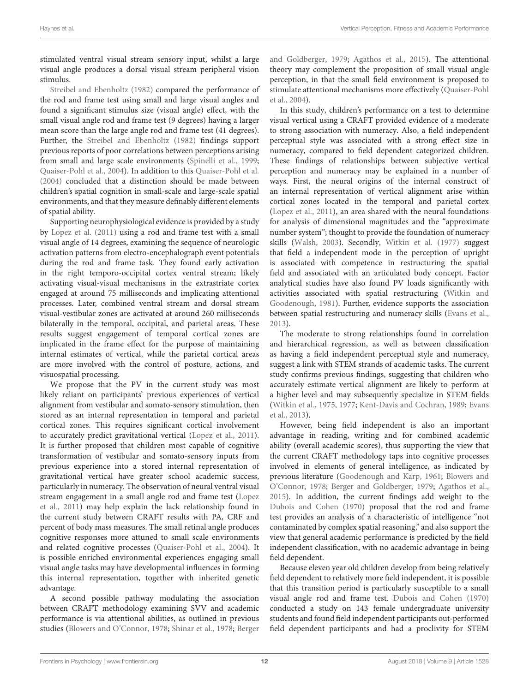stimulated ventral visual stream sensory input, whilst a large visual angle produces a dorsal visual stream peripheral vision stimulus.

[Streibel and Ebenholtz](#page-15-21) [\(1982\)](#page-15-21) compared the performance of the rod and frame test using small and large visual angles and found a significant stimulus size (visual angle) effect, with the small visual angle rod and frame test (9 degrees) having a larger mean score than the large angle rod and frame test (41 degrees). Further, the [Streibel and Ebenholtz](#page-15-21) [\(1982\)](#page-15-21) findings support previous reports of poor correlations between perceptions arising from small and large scale environments [\(Spinelli et al.,](#page-15-22) [1999;](#page-15-22) [Quaiser-Pohl et al.,](#page-14-26) [2004\)](#page-14-26). In addition to this [Quaiser-Pohl et al.](#page-14-26) [\(2004\)](#page-14-26) concluded that a distinction should be made between children's spatial cognition in small-scale and large-scale spatial environments, and that they measure definably different elements of spatial ability.

Supporting neurophysiological evidence is provided by a study by [Lopez et al.](#page-14-12) [\(2011\)](#page-14-12) using a rod and frame test with a small visual angle of 14 degrees, examining the sequence of neurologic activation patterns from electro-encephalograph event potentials during the rod and frame task. They found early activation in the right temporo-occipital cortex ventral stream; likely activating visual-visual mechanisms in the extrastriate cortex engaged at around 75 milliseconds and implicating attentional processes. Later, combined ventral stream and dorsal stream visual-vestibular zones are activated at around 260 milliseconds bilaterally in the temporal, occipital, and parietal areas. These results suggest engagement of temporal cortical zones are implicated in the frame effect for the purpose of maintaining internal estimates of vertical, while the parietal cortical areas are more involved with the control of posture, actions, and visuospatial processing.

We propose that the PV in the current study was most likely reliant on participants' previous experiences of vertical alignment from vestibular and somato-sensory stimulation, then stored as an internal representation in temporal and parietal cortical zones. This requires significant cortical involvement to accurately predict gravitational vertical [\(Lopez et al.,](#page-14-12) [2011\)](#page-14-12). It is further proposed that children most capable of cognitive transformation of vestibular and somato-sensory inputs from previous experience into a stored internal representation of gravitational vertical have greater school academic success, particularly in numeracy. The observation of neural ventral visual stream engagement in a small angle rod and frame test [\(Lopez](#page-14-12) [et al.,](#page-14-12) [2011\)](#page-14-12) may help explain the lack relationship found in the current study between CRAFT results with PA, CRF and percent of body mass measures. The small retinal angle produces cognitive responses more attuned to small scale environments and related cognitive processes [\(Quaiser-Pohl et al.,](#page-14-26) [2004\)](#page-14-26). It is possible enriched environmental experiences engaging small visual angle tasks may have developmental influences in forming this internal representation, together with inherited genetic advantage.

A second possible pathway modulating the association between CRAFT methodology examining SVV and academic performance is via attentional abilities, as outlined in previous studies [\(Blowers and O'Connor,](#page-13-9) [1978;](#page-13-9) [Shinar et al.,](#page-15-13) [1978;](#page-15-13) [Berger](#page-13-10)

[and Goldberger,](#page-13-10) [1979;](#page-13-10) [Agathos et al.,](#page-13-1) [2015\)](#page-13-1). The attentional theory may complement the proposition of small visual angle perception, in that the small field environment is proposed to stimulate attentional mechanisms more effectively [\(Quaiser-Pohl](#page-14-26) [et al.,](#page-14-26) [2004\)](#page-14-26).

In this study, children's performance on a test to determine visual vertical using a CRAFT provided evidence of a moderate to strong association with numeracy. Also, a field independent perceptual style was associated with a strong effect size in numeracy, compared to field dependent categorized children. These findings of relationships between subjective vertical perception and numeracy may be explained in a number of ways. First, the neural origins of the internal construct of an internal representation of vertical alignment arise within cortical zones located in the temporal and parietal cortex [\(Lopez et al.,](#page-14-12) [2011\)](#page-14-12), an area shared with the neural foundations for analysis of dimensional magnitudes and the "approximate number system"; thought to provide the foundation of numeracy skills [\(Walsh,](#page-15-7) [2003\)](#page-15-7). Secondly, [Witkin et al.](#page-15-23) [\(1977\)](#page-15-23) suggest that field a independent mode in the perception of upright is associated with competence in restructuring the spatial field and associated with an articulated body concept. Factor analytical studies have also found PV loads significantly with activities associated with spatial restructuring [\(Witkin and](#page-15-12) [Goodenough,](#page-15-12) [1981\)](#page-15-12). Further, evidence supports the association between spatial restructuring and numeracy skills [\(Evans et al.,](#page-14-34) [2013\)](#page-14-34).

The moderate to strong relationships found in correlation and hierarchical regression, as well as between classification as having a field independent perceptual style and numeracy, suggest a link with STEM strands of academic tasks. The current study confirms previous findings, suggesting that children who accurately estimate vertical alignment are likely to perform at a higher level and may subsequently specialize in STEM fields [\(Witkin et al.,](#page-15-24) [1975,](#page-15-24) [1977;](#page-15-23) [Kent-Davis and Cochran,](#page-14-11) [1989;](#page-14-11) [Evans](#page-14-34) [et al.,](#page-14-34) [2013\)](#page-14-34).

However, being field independent is also an important advantage in reading, writing and for combined academic ability (overall academic scores), thus supporting the view that the current CRAFT methodology taps into cognitive processes involved in elements of general intelligence, as indicated by previous literature [\(Goodenough and Karp,](#page-14-17) [1961;](#page-14-17) [Blowers and](#page-13-9) [O'Connor,](#page-13-9) [1978;](#page-13-9) [Berger and Goldberger,](#page-13-10) [1979;](#page-13-10) [Agathos et al.,](#page-13-1) [2015\)](#page-13-1). In addition, the current findings add weight to the [Dubois and Cohen](#page-13-20) [\(1970\)](#page-13-20) proposal that the rod and frame test provides an analysis of a characteristic of intelligence "not contaminated by complex spatial reasoning," and also support the view that general academic performance is predicted by the field independent classification, with no academic advantage in being field dependent.

Because eleven year old children develop from being relatively field dependent to relatively more field independent, it is possible that this transition period is particularly susceptible to a small visual angle rod and frame test. [Dubois and Cohen](#page-13-20) [\(1970\)](#page-13-20) conducted a study on 143 female undergraduate university students and found field independent participants out-performed field dependent participants and had a proclivity for STEM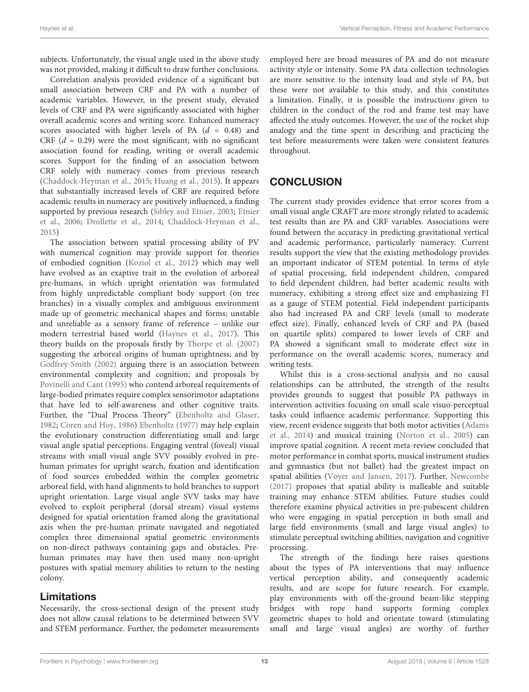subjects. Unfortunately, the visual angle used in the above study was not provided, making it difficult to draw further conclusions.

Correlation analysis provided evidence of a significant but small association between CRF and PA with a number of academic variables. However, in the present study, elevated levels of CRF and PA were significantly associated with higher overall academic scores and writing score. Enhanced numeracy scores associated with higher levels of PA  $(d = 0.48)$  and CRF  $(d = 0.29)$  were the most significant; with no significant association found for reading, writing or overall academic scores. Support for the finding of an association between CRF solely with numeracy comes from previous research [\(Chaddock-Heyman et al.,](#page-13-21) [2015;](#page-13-21) [Huang et al.,](#page-14-35) [2015\)](#page-14-35). It appears that substantially increased levels of CRF are required before academic results in numeracy are positively influenced, a finding supported by previous research [\(Sibley and Etnier,](#page-15-25) [2003;](#page-15-25) [Etnier](#page-14-36) [et al.,](#page-14-36) [2006;](#page-14-36) [Drollette et al.,](#page-13-22) [2014;](#page-13-22) [Chaddock-Heyman et al.,](#page-13-21) [2015\)](#page-13-21)

The association between spatial processing ability of PV with numerical cognition may provide support for theories of embodied cognition [\(Koziol et al.,](#page-14-9) [2012\)](#page-14-9) which may well have evolved as an exaptive trait in the evolution of arboreal pre-humans, in which upright orientation was formulated from highly unpredictable compliant body support (on tree branches) in a visually complex and ambiguous environment made up of geometric mechanical shapes and forms; unstable and unreliable as a sensory frame of reference – unlike our modern terrestrial based world [\(Haynes et al.,](#page-14-37) [2017\)](#page-14-37). This theory builds on the proposals firstly by [Thorpe et al.](#page-15-26) [\(2007\)](#page-15-26) suggesting the arboreal origins of human uprightness; and by [Godfrey-Smith](#page-14-38) [\(2002\)](#page-14-38) arguing there is an association between environmental complexity and cognition; and proposals by [Povinelli and Cant](#page-14-39) [\(1995\)](#page-14-39) who contend arboreal requirements of large-bodied primates require complex sensorimotor adaptations that have led to self-awareness and other cognitive traits. Further, the "Dual Process Theory" [\(Ebenholtz and Glaser,](#page-14-32) [1982;](#page-14-32) [Coren and Hoy,](#page-13-19) [1986\)](#page-13-19) [Ebenholtz](#page-14-33) [\(1977\)](#page-14-33) may help explain the evolutionary construction differentiating small and large visual angle spatial perceptions. Engaging ventral (foveal) visual streams with small visual angle SVV possibly evolved in prehuman primates for upright search, fixation and identification of food sources embedded within the complex geometric arboreal field, with hand alignments to hold branches to support upright orientation. Large visual angle SVV tasks may have evolved to exploit peripheral (dorsal stream) visual systems designed for spatial orientation framed along the gravitational axis when the pre-human primate navigated and negotiated complex three dimensional spatial geometric environments on non-direct pathways containing gaps and obstacles. Prehuman primates may have then used many non-upright postures with spatial memory abilities to return to the nesting colony.

### Limitations

Necessarily, the cross-sectional design of the present study does not allow causal relations to be determined between SVV and STEM performance. Further, the pedometer measurements employed here are broad measures of PA and do not measure activity style or intensity. Some PA data collection technologies are more sensitive to the intensity load and style of PA, but these were not available to this study, and this constitutes a limitation. Finally, it is possible the instructions given to children in the conduct of the rod and frame test may have affected the study outcomes. However, the use of the rocket ship analogy and the time spent in describing and practicing the test before measurements were taken were consistent features throughout.

# **CONCLUSION**

The current study provides evidence that error scores from a small visual angle CRAFT are more strongly related to academic test results than are PA and CRF variables. Associations were found between the accuracy in predicting gravitational vertical and academic performance, particularly numeracy. Current results support the view that the existing methodology provides an important indicator of STEM potential. In terms of style of spatial processing, field independent children, compared to field dependent children, had better academic results with numeracy, exhibiting a strong effect size and emphasizing FI as a gauge of STEM potential. Field independent participants also had increased PA and CRF levels (small to moderate effect size). Finally, enhanced levels of CRF and PA (based on quartile splits) compared to lower levels of CRF and PA showed a significant small to moderate effect size in performance on the overall academic scores, numeracy and writing tests.

Whilst this is a cross-sectional analysis and no causal relationships can be attributed, the strength of the results provides grounds to suggest that possible PA pathways in intervention activities focusing on small scale visuo-perceptual tasks could influence academic performance. Supporting this view, recent evidence suggests that both motor activities [\(Adams](#page-13-23) [et al.,](#page-13-23) [2014\)](#page-13-23) and musical training [\(Norton et al.,](#page-14-40) [2005\)](#page-14-40) can improve spatial cognition. A recent meta-review concluded that motor performance in combat sports, musical instrument studies and gymnastics (but not ballet) had the greatest impact on spatial abilities [\(Voyer and Jansen,](#page-15-27) [2017\)](#page-15-27). Further, [Newcombe](#page-14-4) [\(2017\)](#page-14-4) proposes that spatial ability is malleable and suitable training may enhance STEM abilities. Future studies could therefore examine physical activities in pre-pubescent children who were engaging in spatial perception in both small and large field environments (small and large visual angles) to stimulate perceptual switching abilities, navigation and cognitive processing.

The strength of the findings here raises questions about the types of PA interventions that may influence vertical perception ability, and consequently academic results, and are scope for future research. For example, play environments with off-the-ground beam-like stepping bridges with rope hand supports forming complex geometric shapes to hold and orientate toward (stimulating small and large visual angles) are worthy of further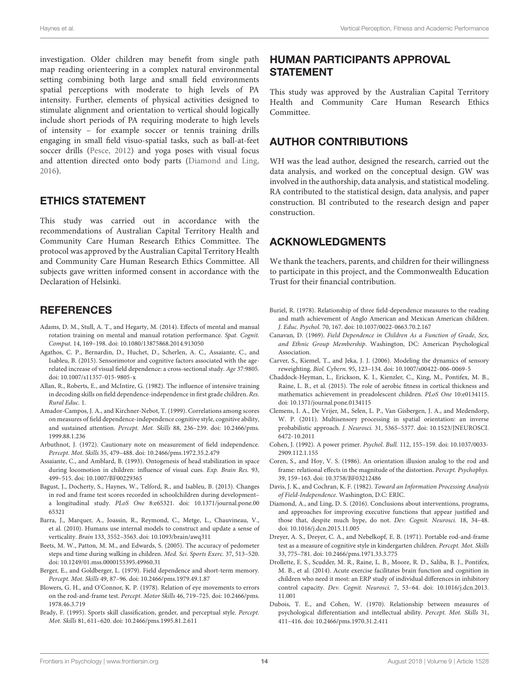investigation. Older children may benefit from single path map reading orienteering in a complex natural environmental setting combining both large and small field environments spatial perceptions with moderate to high levels of PA intensity. Further, elements of physical activities designed to stimulate alignment and orientation to vertical should logically include short periods of PA requiring moderate to high levels of intensity – for example soccer or tennis training drills engaging in small field visuo-spatial tasks, such as ball-at-feet soccer drills [\(Pesce,](#page-14-2) [2012\)](#page-14-2) and yoga poses with visual focus and attention directed onto body parts [\(Diamond and Ling,](#page-13-0) [2016\)](#page-13-0).

# ETHICS STATEMENT

This study was carried out in accordance with the recommendations of Australian Capital Territory Health and Community Care Human Research Ethics Committee. The protocol was approved by the Australian Capital Territory Health and Community Care Human Research Ethics Committee. All subjects gave written informed consent in accordance with the Declaration of Helsinki.

# **REFERENCES**

- <span id="page-13-23"></span>Adams, D. M., Stull, A. T., and Hegarty, M. (2014). Effects of mental and manual rotation training on mental and manual rotation performance. Spat. Cognit. Comput. 14, 169–198. [doi: 10.1080/13875868.2014.913050](https://doi.org/10.1080/13875868.2014.913050)
- <span id="page-13-1"></span>Agathos, C. P., Bernardin, D., Huchet, D., Scherlen, A. C., Assaiante, C., and Isableu, B. (2015). Sensorimotor and cognitive factors associated with the agerelated increase of visual field dependence: a cross-sectional study. Age 37:9805. [doi: 10.1007/s11357-015-9805-x](https://doi.org/10.1007/s11357-015-9805-x)
- <span id="page-13-15"></span>Allan, R., Roberts, E., and McIntire, G. (1982). The influence of intensive training in decoding skills on field dependence-independence in first grade children. Res. Rural Educ. 1.
- <span id="page-13-11"></span>Amador-Campos, J. A., and Kirchner-Nebot, T. (1999). Correlations among scores on measures of field dependence-independence cognitive style, cognitive ability, and sustained attention. Percept. Mot. Skills 88, 236–239. [doi: 10.2466/pms.](https://doi.org/10.2466/pms.1999.88.1.236) [1999.88.1.236](https://doi.org/10.2466/pms.1999.88.1.236)
- <span id="page-13-6"></span>Arbuthnot, J. (1972). Cautionary note on measurement of field independence. Percept. Mot. Skills 35, 479–488. [doi: 10.2466/pms.1972.35.2.479](https://doi.org/10.2466/pms.1972.35.2.479)
- <span id="page-13-2"></span>Assaiante, C., and Amblard, B. (1993). Ontogenesis of head stabilization in space during locomotion in children: influence of visual cues. Exp. Brain Res. 93, 499–515. [doi: 10.1007/BF00229365](https://doi.org/10.1007/BF00229365)
- <span id="page-13-7"></span>Bagust, J., Docherty, S., Haynes, W., Telford, R., and Isableu, B. (2013). Changes in rod and frame test scores recorded in schoolchildren during development– a longitudinal study. PLoS One 8:e65321. [doi: 10.1371/journal.pone.00](https://doi.org/10.1371/journal.pone.0065321) [65321](https://doi.org/10.1371/journal.pone.0065321)
- <span id="page-13-5"></span>Barra, J., Marquer, A., Joassin, R., Reymond, C., Metge, L., Chauvineau, V., et al. (2010). Humans use internal models to construct and update a sense of verticality. Brain 133, 3552–3563. [doi: 10.1093/brain/awq311](https://doi.org/10.1093/brain/awq311)
- <span id="page-13-17"></span>Beets, M. W., Patton, M. M., and Edwards, S. (2005). The accuracy of pedometer steps and time during walking in children. Med. Sci. Sports Exerc. 37, 513–520. [doi: 10.1249/01.mss.0000155395.49960.31](https://doi.org/10.1249/01.mss.0000155395.49960.31)
- <span id="page-13-10"></span>Berger, E., and Goldberger, L. (1979). Field dependence and short-term memory. Percept. Mot. Skills 49, 87–96. [doi: 10.2466/pms.1979.49.1.87](https://doi.org/10.2466/pms.1979.49.1.87)
- <span id="page-13-9"></span>Blowers, G. H., and O'Connor, K. P. (1978). Relation of eye movements to errors on the rod-and-frame test. Percept. Motor Skills 46, 719–725. [doi: 10.2466/pms.](https://doi.org/10.2466/pms.1978.46.3.719) [1978.46.3.719](https://doi.org/10.2466/pms.1978.46.3.719)
- <span id="page-13-16"></span>Brady, F. (1995). Sports skill classification, gender, and perceptual style. Percept. Mot. Skills 81, 611–620. [doi: 10.2466/pms.1995.81.2.611](https://doi.org/10.2466/pms.1995.81.2.611)

# HUMAN PARTICIPANTS APPROVAL STATEMENT

This study was approved by the Australian Capital Territory Health and Community Care Human Research Ethics Committee.

# AUTHOR CONTRIBUTIONS

WH was the lead author, designed the research, carried out the data analysis, and worked on the conceptual design. GW was involved in the authorship, data analysis, and statistical modeling. RA contributed to the statistical design, data analysis, and paper construction. BI contributed to the research design and paper construction.

# ACKNOWLEDGMENTS

We thank the teachers, parents, and children for their willingness to participate in this project, and the Commonwealth Education Trust for their financial contribution.

- <span id="page-13-14"></span>Buriel, R. (1978). Relationship of three field-dependence measures to the reading and math achievement of Anglo American and Mexican American children. J. Educ. Psychol. 70, 167. [doi: 10.1037/0022-0663.70.2.167](https://doi.org/10.1037/0022-0663.70.2.167)
- <span id="page-13-13"></span>Canavan, D. (1969). Field Dependence in Children As a Function of Grade, Sex, and Ethnic Group Membership. Washington, DC: American Psychological Association.
- <span id="page-13-4"></span>Carver, S., Kiemel, T., and Jeka, J. J. (2006). Modeling the dynamics of sensory reweighting. Biol. Cybern. 95, 123–134. [doi: 10.1007/s00422-006-0069-5](https://doi.org/10.1007/s00422-006-0069-5)
- <span id="page-13-21"></span>Chaddock-Heyman, L., Erickson, K. I., Kienzler, C., King, M., Pontifex, M. B., Raine, L. B., et al. (2015). The role of aerobic fitness in cortical thickness and mathematics achievement in preadolescent children. PLoS One 10:e0134115. [doi: 10.1371/journal.pone.0134115](https://doi.org/10.1371/journal.pone.0134115)
- <span id="page-13-3"></span>Clemens, I. A., De Vrijer, M., Selen, L. P., Van Gisbergen, J. A., and Medendorp, W. P. (2011). Multisensory processing in spatial orientation: an inverse probabilistic approach. J. Neurosci. 31, 5365–5377. [doi: 10.1523/JNEUROSCI.](https://doi.org/10.1523/JNEUROSCI.6472-10.2011) [6472-10.2011](https://doi.org/10.1523/JNEUROSCI.6472-10.2011)
- <span id="page-13-18"></span>Cohen, J. (1992). A power primer. Psychol. Bull. 112, 155–159. [doi: 10.1037/0033-](https://doi.org/10.1037/0033-2909.112.1.155) [2909.112.1.155](https://doi.org/10.1037/0033-2909.112.1.155)
- <span id="page-13-19"></span>Coren, S., and Hoy, V. S. (1986). An orientation illusion analog to the rod and frame: relational effects in the magnitude of the distortion. Percept. Psychophys. 39, 159–163. [doi: 10.3758/BF03212486](https://doi.org/10.3758/BF03212486)
- <span id="page-13-8"></span>Davis, J. K., and Cochran, K. F. (1982). Toward an Information Processing Analysis of Field-Independence. Washington, D.C: ERIC.
- <span id="page-13-0"></span>Diamond, A., and Ling, D. S. (2016). Conclusions about interventions, programs, and approaches for improving executive functions that appear justified and those that, despite much hype, do not. Dev. Cognit. Neurosci. 18, 34–48. [doi: 10.1016/j.dcn.2015.11.005](https://doi.org/10.1016/j.dcn.2015.11.005)
- <span id="page-13-12"></span>Dreyer, A. S., Dreyer, C. A., and Nebelkopf, E. B. (1971). Portable rod-and-frame test as a measure of cognitive style in kindergarten children. Percept. Mot. Skills 33, 775–781. [doi: 10.2466/pms.1971.33.3.775](https://doi.org/10.2466/pms.1971.33.3.775)
- <span id="page-13-22"></span>Drollette, E. S., Scudder, M. R., Raine, L. B., Moore, R. D., Saliba, B. J., Pontifex, M. B., et al. (2014). Acute exercise facilitates brain function and cognition in children who need it most: an ERP study of individual differences in inhibitory control capacity. Dev. Cognit. Neurosci. 7, 53–64. [doi: 10.1016/j.dcn.2013.](https://doi.org/10.1016/j.dcn.2013.11.001) [11.001](https://doi.org/10.1016/j.dcn.2013.11.001)
- <span id="page-13-20"></span>Dubois, T. E., and Cohen, W. (1970). Relationship between measures of psychological differentiation and intellectual ability. Percept. Mot. Skills 31, 411–416. [doi: 10.2466/pms.1970.31.2.411](https://doi.org/10.2466/pms.1970.31.2.411)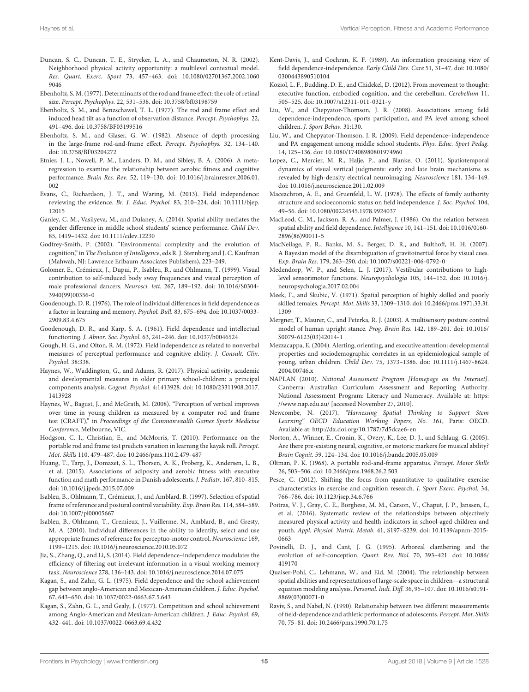- <span id="page-14-28"></span>Duncan, S. C., Duncan, T. E., Strycker, L. A., and Chaumeton, N. R. (2002). Neighborhood physical activity opportunity: a multilevel contextual model. Res. Quart. Exerc. Sport 73, 457–463. [doi: 10.1080/02701367.2002.1060](https://doi.org/10.1080/02701367.2002.10609046) [9046](https://doi.org/10.1080/02701367.2002.10609046)
- <span id="page-14-33"></span>Ebenholtz, S. M. (1977). Determinants of the rod and frame effect: the role of retinal size. Percept. Psychophys. 22, 531–538. [doi: 10.3758/bf03198759](https://doi.org/10.3758/bf03198759)
- <span id="page-14-31"></span>Ebenholtz, S. M., and Benzschawel, T. L. (1977). The rod and frame effect and induced head tilt as a function of observation distance. Percept. Psychophys. 22, 491–496. [doi: 10.3758/BF03199516](https://doi.org/10.3758/BF03199516)
- <span id="page-14-32"></span>Ebenholtz, S. M., and Glaser, G. W. (1982). Absence of depth processing in the large-frame rod-and-frame effect. Percept. Psychophys. 32, 134–140. [doi: 10.3758/BF03204272](https://doi.org/10.3758/BF03204272)
- <span id="page-14-36"></span>Etnier, J. L., Nowell, P. M., Landers, D. M., and Sibley, B. A. (2006). A metaregression to examine the relationship between aerobic fitness and cognitive performance. Brain Res. Rev. 52, 119–130. [doi: 10.1016/j.brainresrev.2006.01.](https://doi.org/10.1016/j.brainresrev.2006.01.002)  $002$
- <span id="page-14-34"></span>Evans, C., Richardson, J. T., and Waring, M. (2013). Field independence: reviewing the evidence. Br. J. Educ. Psychol. 83, 210–224. [doi: 10.1111/bjep.](https://doi.org/10.1111/bjep.12015) [12015](https://doi.org/10.1111/bjep.12015)
- <span id="page-14-3"></span>Ganley, C. M., Vasilyeva, M., and Dulaney, A. (2014). Spatial ability mediates the gender difference in middle school students' science performance. Child Dev. 85, 1419–1432. [doi: 10.1111/cdev.12230](https://doi.org/10.1111/cdev.12230)
- <span id="page-14-38"></span>Godfrey-Smith, P. (2002). "Environmental complexity and the evolution of cognition," in The Evolution of Intelligence, eds R. J. Sternberg and J. C. Kaufman (Mahwah, NJ: Lawrence Erlbaum Associates Publishers), 223–249.
- <span id="page-14-23"></span>Golomer, E., Crémieux, J., Dupui, P., Isableu, B., and Ohlmann, T. (1999). Visual contribution to self-induced body sway frequencies and visual perception of male professional dancers. Neurosci. lett. 267, 189–192. [doi: 10.1016/S0304-](https://doi.org/10.1016/S0304-3940(99)00356-0) [3940\(99\)00356-0](https://doi.org/10.1016/S0304-3940(99)00356-0)
- <span id="page-14-16"></span>Goodenough, D. R. (1976). The role of individual differences in field dependence as a factor in learning and memory. Psychol. Bull. 83, 675–694. [doi: 10.1037/0033-](https://doi.org/10.1037/0033-2909.83.4.675) [2909.83.4.675](https://doi.org/10.1037/0033-2909.83.4.675)
- <span id="page-14-17"></span>Goodenough, D. R., and Karp, S. A. (1961). Field dependence and intellectual functioning. J. Abnor. Soc. Psychol. 63, 241–246. [doi: 10.1037/h0046524](https://doi.org/10.1037/h0046524)
- <span id="page-14-15"></span>Gough, H. G., and Olton, R. M. (1972). Field independence as related to nonverbal measures of perceptual performance and cognitive ability. J. Consult. Clin. Psychol. 38:338.
- <span id="page-14-37"></span>Haynes, W., Waddington, G., and Adams, R. (2017). Physical activity, academic and developmental measures in older primary school-children: a principal components analysis. Cogent. Psychol. 4:1413928. [doi: 10.1080/23311908.2017.](https://doi.org/10.1080/23311908.2017.1413928) [1413928](https://doi.org/10.1080/23311908.2017.1413928)
- <span id="page-14-30"></span>Haynes, W., Bagust, J., and McGrath, M. (2008). "Perception of vertical improves over time in young children as measured by a computer rod and frame test (CRAFT)," in Proceedings of the Commonwealth Games Sports Medicine Conference, Melbourne, VIC.
- <span id="page-14-24"></span>Hodgson, C. I., Christian, E., and McMorris, T. (2010). Performance on the portable rod and frame test predicts variation in learning the kayak roll. Percept. Mot. Skills 110, 479–487. [doi: 10.2466/pms.110.2.479-487](https://doi.org/10.2466/pms.110.2.479-487)
- <span id="page-14-35"></span>Huang, T., Tarp, J., Domazet, S. L., Thorsen, A. K., Froberg, K., Andersen, L. B., et al. (2015). Associations of adiposity and aerobic fitness with executive function and math performance in Danish adolescents. J. Pediatr. 167, 810–815. [doi: 10.1016/j.jpeds.2015.07.009](https://doi.org/10.1016/j.jpeds.2015.07.009)
- <span id="page-14-13"></span>Isableu, B., Ohlmann, T., Crémieux, J., and Amblard, B. (1997). Selection of spatial frame of reference and postural control variability. Exp. Brain Res. 114, 584–589. [doi: 10.1007/pl00005667](https://doi.org/10.1007/pl00005667)
- <span id="page-14-5"></span>Isableu, B., Ohlmann, T., Cremieux, J., Vuillerme, N., Amblard, B., and Gresty, M. A. (2010). Individual differences in the ability to identify, select and use appropriate frames of reference for perceptuo-motor control. Neuroscience 169, 1199–1215. [doi: 10.1016/j.neuroscience.2010.05.072](https://doi.org/10.1016/j.neuroscience.2010.05.072)
- <span id="page-14-14"></span>Jia, S., Zhang, Q., and Li, S. (2014). Field dependence–independence modulates the efficiency of filtering out irrelevant information in a visual working memory task. Neuroscience 278, 136–143. [doi: 10.1016/j.neuroscience.2014.07.075](https://doi.org/10.1016/j.neuroscience.2014.07.075)
- <span id="page-14-18"></span>Kagan, S., and Zahn, G. L. (1975). Field dependence and the school achievement gap between anglo-American and Mexican-American children. J. Educ. Psychol. 67, 643–650. [doi: 10.1037/0022-0663.67.5.643](https://doi.org/10.1037/0022-0663.67.5.643)
- <span id="page-14-19"></span>Kagan, S., Zahn, G. L., and Gealy, J. (1977). Competition and school achievement among Anglo-American and Mexican-American children. J. Educ. Psychol. 69, 432–441. [doi: 10.1037/0022-0663.69.4.432](https://doi.org/10.1037/0022-0663.69.4.432)
- <span id="page-14-11"></span>Kent-Davis, J., and Cochran, K. F. (1989). An information processing view of field dependence-independence. Early Child Dev. Care 51, 31–47. [doi: 10.1080/](https://doi.org/10.1080/0300443890510104) [0300443890510104](https://doi.org/10.1080/0300443890510104)
- <span id="page-14-9"></span>Koziol, L. F., Budding, D. E., and Chidekel, D. (2012). From movement to thought: executive function, embodied cognition, and the cerebellum. Cerebellum 11, 505–525. [doi: 10.1007/s12311-011-0321-y](https://doi.org/10.1007/s12311-011-0321-y)
- <span id="page-14-20"></span>Liu, W., and Chepyator-Thomson, J. R. (2008). Associations among field dependence-independence, sports participation, and PA level among school children. J. Sport Behav. 31:130.
- <span id="page-14-21"></span>Liu, W., and Chepyator-Thomson, J. R. (2009). Field dependence–independence and PA engagement among middle school students. Phys. Educ. Sport Pedag. 14, 125–136. [doi: 10.1080/17408980801974960](https://doi.org/10.1080/17408980801974960)
- <span id="page-14-12"></span>Lopez, C., Mercier, M. R., Halje, P., and Blanke, O. (2011). Spatiotemporal dynamics of visual vertical judgments: early and late brain mechanisms as revealed by high-density electrical neuroimaging. Neuroscience 181, 134–149. [doi: 10.1016/j.neuroscience.2011.02.009](https://doi.org/10.1016/j.neuroscience.2011.02.009)
- <span id="page-14-29"></span>Maceachron, A. E., and Gruenfeld, L. W. (1978). The effects of family authority structure and socioeconomic status on field independence. J. Soc. Psychol. 104, 49–56. [doi: 10.1080/00224545.1978.9924037](https://doi.org/10.1080/00224545.1978.9924037)
- MacLeod, C. M., Jackson, R. A., and Palmer, J. (1986). On the relation between spatial ability and field dependence. Intelligence 10, 141–151. [doi: 10.1016/0160-](https://doi.org/10.1016/0160-2896(86)90011-5) [2896\(86\)90011-5](https://doi.org/10.1016/0160-2896(86)90011-5)
- <span id="page-14-8"></span>MacNeilage, P. R., Banks, M. S., Berger, D. R., and Bulthoff, H. H. (2007). A Bayesian model of the disambiguation of gravitoinertial force by visual cues. Exp. Brain Res. 179, 263–290. [doi: 10.1007/s00221-006-0792-0](https://doi.org/10.1007/s00221-006-0792-0)
- <span id="page-14-6"></span>Medendorp, W. P., and Selen, L. J. (2017). Vestibular contributions to highlevel sensorimotor functions. Neuropsychologia 105, 144–152. [doi: 10.1016/j.](https://doi.org/10.1016/j.neuropsychologia.2017.02.004) [neuropsychologia.2017.02.004](https://doi.org/10.1016/j.neuropsychologia.2017.02.004)
- <span id="page-14-22"></span>Meek, F., and Skubic, V. (1971). Spatial perception of highly skilled and poorly skilled females. Percept. Mot. Skills 33, 1309–1310. [doi: 10.2466/pms.1971.33.3f.](https://doi.org/10.2466/pms.1971.33.3f.1309) [1309](https://doi.org/10.2466/pms.1971.33.3f.1309)
- <span id="page-14-7"></span>Mergner, T., Maurer, C., and Peterka, R. J. (2003). A multisensory posture control model of human upright stance. Prog. Brain Res. 142, 189–201. [doi: 10.1016/](https://doi.org/10.1016/S0079-6123(03)42014-1) [S0079-6123\(03\)42014-1](https://doi.org/10.1016/S0079-6123(03)42014-1)
- <span id="page-14-27"></span>Mezzacappa, E. (2004). Alerting, orienting, and executive attention: developmental properties and sociodemographic correlates in an epidemiological sample of young, urban children. Child Dev. 75, 1373–1386. [doi: 10.1111/j.1467-8624.](https://doi.org/10.1111/j.1467-8624.2004.00746.x) [2004.00746.x](https://doi.org/10.1111/j.1467-8624.2004.00746.x)
- <span id="page-14-0"></span>NAPLAN (2010). National Assessment Program [Homepage on the Internet]. Canberra: Australian Curriculum Assessment and Reporting Authority. National Assessment Program: Literacy and Numeracy. Available at: [https:](https://www.nap.edu.au/) [//www.nap.edu.au/](https://www.nap.edu.au/) [accessed November 27, 2010].
- <span id="page-14-4"></span>Newcombe, N. (2017). "Harnessing Spatial Thinking to Support Stem Learning" OECD Education Working Papers, No. 161, Paris: OECD. Available at: <http://dx.doi.org/10.1787/7d5dcae6-en>
- <span id="page-14-40"></span>Norton, A., Winner, E., Cronin, K., Overy, K., Lee, D. J., and Schlaug, G. (2005). Are there pre-existing neural, cognitive, or motoric markers for musical ability? Brain Cognit. 59, 124–134. [doi: 10.1016/j.bandc.2005.05.009](https://doi.org/10.1016/j.bandc.2005.05.009)
- <span id="page-14-10"></span>Oltman, P. K. (1968). A portable rod-and-frame apparatus. Percept. Motor Skills 26, 503–506. [doi: 10.2466/pms.1968.26.2.503](https://doi.org/10.2466/pms.1968.26.2.503)
- <span id="page-14-2"></span>Pesce, C. (2012). Shifting the focus from quantitative to qualitative exercise characteristics in exercise and cognition research. J. Sport Exerc. Psychol. 34, 766–786. [doi: 10.1123/jsep.34.6.766](https://doi.org/10.1123/jsep.34.6.766)
- <span id="page-14-1"></span>Poitras, V. J., Gray, C. E., Borghese, M. M., Carson, V., Chaput, J. P., Janssen, I., et al. (2016). Systematic review of the relationships between objectively measured physical activity and health indicators in school-aged children and youth. Appl. Physiol. Nutrit. Metab. 41, S197–S239. [doi: 10.1139/apnm-2015-](https://doi.org/10.1139/apnm-2015-0663) [0663](https://doi.org/10.1139/apnm-2015-0663)
- <span id="page-14-39"></span>Povinelli, D. J., and Cant, J. G. (1995). Arboreal clambering and the evolution of self-conception. Quart. Rev. Biol. 70, 393–421. [doi: 10.1086/](https://doi.org/10.1086/419170) [419170](https://doi.org/10.1086/419170)
- <span id="page-14-26"></span>Quaiser-Pohl, C., Lehmann, W., and Eid, M. (2004). The relationship between spatial abilities and representations of large-scale space in children—a structural equation modeling analysis. Personal. Indi. Diff. 36, 95–107. [doi: 10.1016/s0191-](https://doi.org/10.1016/s0191-8869(03)00071-0) [8869\(03\)00071-0](https://doi.org/10.1016/s0191-8869(03)00071-0)
- <span id="page-14-25"></span>Raviv, S., and Nabel, N. (1990). Relationship between two different measurements of field-dependence and athletic performance of adolescents. Percept. Mot. Skills 70, 75–81. [doi: 10.2466/pms.1990.70.1.75](https://doi.org/10.2466/pms.1990.70.1.75)